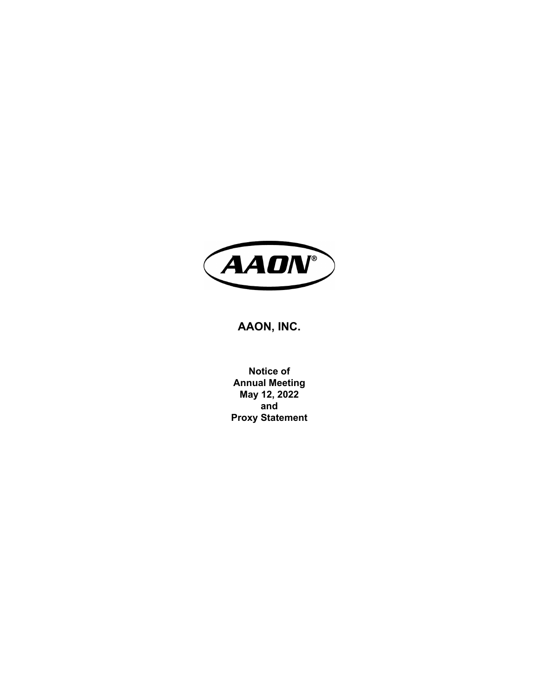

# **AAON, INC.**

**Notice of Annual Meeting May 12, 2022 and Proxy Statement**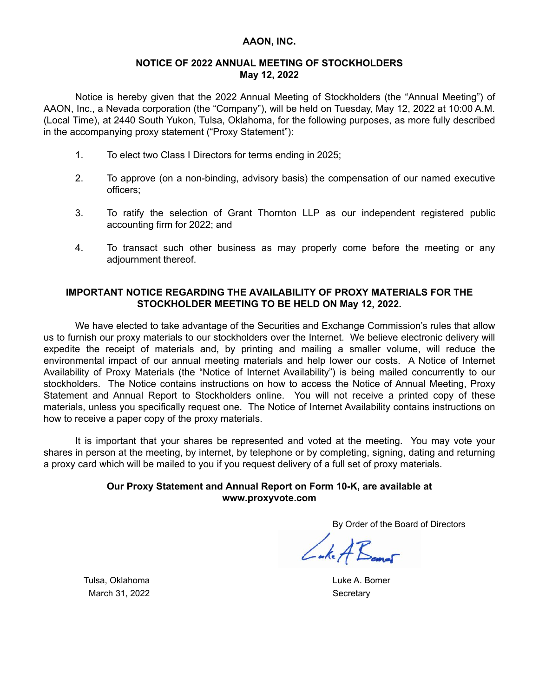# **AAON, INC.**

# **NOTICE OF 2022 ANNUAL MEETING OF STOCKHOLDERS May 12, 2022**

Notice is hereby given that the 2022 Annual Meeting of Stockholders (the "Annual Meeting") of AAON, Inc., a Nevada corporation (the "Company"), will be held on Tuesday, May 12, 2022 at 10:00 A.M. (Local Time), at 2440 South Yukon, Tulsa, Oklahoma, for the following purposes, as more fully described in the accompanying proxy statement ("Proxy Statement"):

- 1. To elect two Class I Directors for terms ending in 2025;
- 2. To approve (on a non-binding, advisory basis) the compensation of our named executive officers;
- 3. To ratify the selection of Grant Thornton LLP as our independent registered public accounting firm for 2022; and
- 4. To transact such other business as may properly come before the meeting or any adjournment thereof.

# **IMPORTANT NOTICE REGARDING THE AVAILABILITY OF PROXY MATERIALS FOR THE STOCKHOLDER MEETING TO BE HELD ON May 12, 2022.**

We have elected to take advantage of the Securities and Exchange Commission's rules that allow us to furnish our proxy materials to our stockholders over the Internet. We believe electronic delivery will expedite the receipt of materials and, by printing and mailing a smaller volume, will reduce the environmental impact of our annual meeting materials and help lower our costs. A Notice of Internet Availability of Proxy Materials (the "Notice of Internet Availability") is being mailed concurrently to our stockholders. The Notice contains instructions on how to access the Notice of Annual Meeting, Proxy Statement and Annual Report to Stockholders online. You will not receive a printed copy of these materials, unless you specifically request one. The Notice of Internet Availability contains instructions on how to receive a paper copy of the proxy materials.

It is important that your shares be represented and voted at the meeting. You may vote your shares in person at the meeting, by internet, by telephone or by completing, signing, dating and returning a proxy card which will be mailed to you if you request delivery of a full set of proxy materials.

# **Our Proxy Statement and Annual Report on Form 10-K, are available at www.proxyvote.com**

By Order of the Board of Directors

Luke A Bamos

Tulsa, Oklahoma **Luke A. Bomer** March 31, 2022 Secretary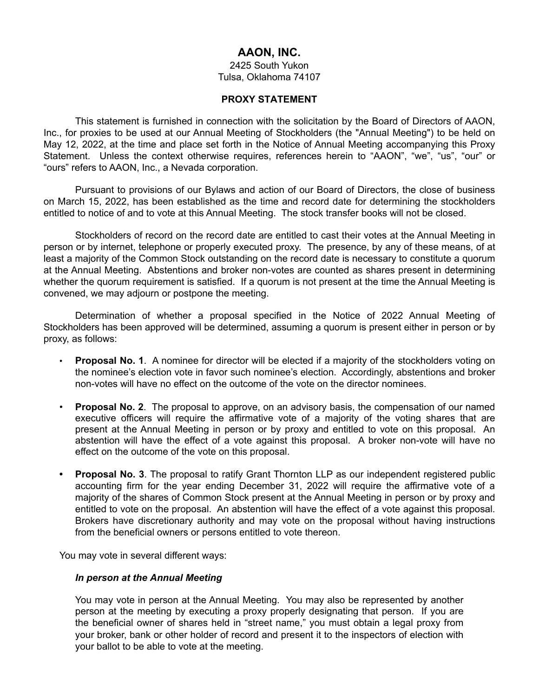# **AAON, INC.**

2425 South Yukon Tulsa, Oklahoma 74107

### **PROXY STATEMENT**

This statement is furnished in connection with the solicitation by the Board of Directors of AAON, Inc., for proxies to be used at our Annual Meeting of Stockholders (the "Annual Meeting") to be held on May 12, 2022, at the time and place set forth in the Notice of Annual Meeting accompanying this Proxy Statement. Unless the context otherwise requires, references herein to "AAON", "we", "us", "our" or "ours" refers to AAON, Inc., a Nevada corporation.

Pursuant to provisions of our Bylaws and action of our Board of Directors, the close of business on March 15, 2022, has been established as the time and record date for determining the stockholders entitled to notice of and to vote at this Annual Meeting. The stock transfer books will not be closed.

Stockholders of record on the record date are entitled to cast their votes at the Annual Meeting in person or by internet, telephone or properly executed proxy. The presence, by any of these means, of at least a majority of the Common Stock outstanding on the record date is necessary to constitute a quorum at the Annual Meeting. Abstentions and broker non-votes are counted as shares present in determining whether the quorum requirement is satisfied. If a quorum is not present at the time the Annual Meeting is convened, we may adjourn or postpone the meeting.

Determination of whether a proposal specified in the Notice of 2022 Annual Meeting of Stockholders has been approved will be determined, assuming a quorum is present either in person or by proxy, as follows:

- **Proposal No. 1**. A nominee for director will be elected if a majority of the stockholders voting on the nominee's election vote in favor such nominee's election. Accordingly, abstentions and broker non-votes will have no effect on the outcome of the vote on the director nominees.
- **Proposal No. 2**. The proposal to approve, on an advisory basis, the compensation of our named executive officers will require the affirmative vote of a majority of the voting shares that are present at the Annual Meeting in person or by proxy and entitled to vote on this proposal. An abstention will have the effect of a vote against this proposal. A broker non-vote will have no effect on the outcome of the vote on this proposal.
- **• Proposal No. 3**. The proposal to ratify Grant Thornton LLP as our independent registered public accounting firm for the year ending December 31, 2022 will require the affirmative vote of a majority of the shares of Common Stock present at the Annual Meeting in person or by proxy and entitled to vote on the proposal. An abstention will have the effect of a vote against this proposal. Brokers have discretionary authority and may vote on the proposal without having instructions from the beneficial owners or persons entitled to vote thereon.

You may vote in several different ways:

### *In person at the Annual Meeting*

You may vote in person at the Annual Meeting. You may also be represented by another person at the meeting by executing a proxy properly designating that person. If you are the beneficial owner of shares held in "street name," you must obtain a legal proxy from your broker, bank or other holder of record and present it to the inspectors of election with your ballot to be able to vote at the meeting.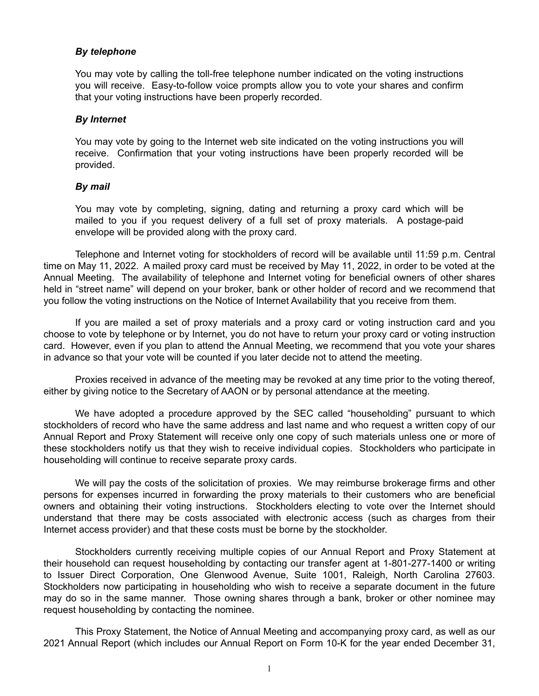# *By telephone*

You may vote by calling the toll-free telephone number indicated on the voting instructions you will receive. Easy-to-follow voice prompts allow you to vote your shares and confirm that your voting instructions have been properly recorded.

### *By Internet*

You may vote by going to the Internet web site indicated on the voting instructions you will receive. Confirmation that your voting instructions have been properly recorded will be provided.

# *By mail*

You may vote by completing, signing, dating and returning a proxy card which will be mailed to you if you request delivery of a full set of proxy materials. A postage-paid envelope will be provided along with the proxy card.

Telephone and Internet voting for stockholders of record will be available until 11:59 p.m. Central time on May 11, 2022. A mailed proxy card must be received by May 11, 2022, in order to be voted at the Annual Meeting. The availability of telephone and Internet voting for beneficial owners of other shares held in "street name" will depend on your broker, bank or other holder of record and we recommend that you follow the voting instructions on the Notice of Internet Availability that you receive from them.

If you are mailed a set of proxy materials and a proxy card or voting instruction card and you choose to vote by telephone or by Internet, you do not have to return your proxy card or voting instruction card. However, even if you plan to attend the Annual Meeting, we recommend that you vote your shares in advance so that your vote will be counted if you later decide not to attend the meeting.

Proxies received in advance of the meeting may be revoked at any time prior to the voting thereof, either by giving notice to the Secretary of AAON or by personal attendance at the meeting.

We have adopted a procedure approved by the SEC called "householding" pursuant to which stockholders of record who have the same address and last name and who request a written copy of our Annual Report and Proxy Statement will receive only one copy of such materials unless one or more of these stockholders notify us that they wish to receive individual copies. Stockholders who participate in householding will continue to receive separate proxy cards.

We will pay the costs of the solicitation of proxies. We may reimburse brokerage firms and other persons for expenses incurred in forwarding the proxy materials to their customers who are beneficial owners and obtaining their voting instructions. Stockholders electing to vote over the Internet should understand that there may be costs associated with electronic access (such as charges from their Internet access provider) and that these costs must be borne by the stockholder.

Stockholders currently receiving multiple copies of our Annual Report and Proxy Statement at their household can request householding by contacting our transfer agent at 1-801-277-1400 or writing to Issuer Direct Corporation, One Glenwood Avenue, Suite 1001, Raleigh, North Carolina 27603. Stockholders now participating in householding who wish to receive a separate document in the future may do so in the same manner. Those owning shares through a bank, broker or other nominee may request householding by contacting the nominee.

This Proxy Statement, the Notice of Annual Meeting and accompanying proxy card, as well as our 2021 Annual Report (which includes our Annual Report on Form 10-K for the year ended December 31,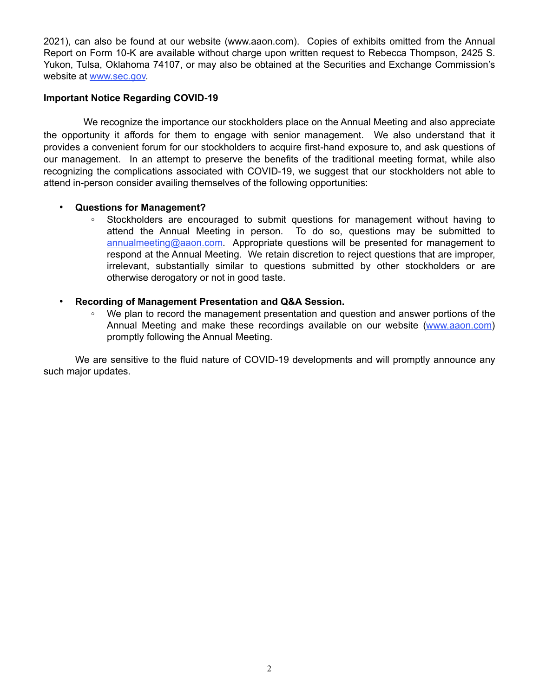2021), can also be found at our website (www.aaon.com). Copies of exhibits omitted from the Annual Report on Form 10-K are available without charge upon written request to Rebecca Thompson, 2425 S. Yukon, Tulsa, Oklahoma 74107, or may also be obtained at the Securities and Exchange Commission's website at www.sec.gov.

# **Important Notice Regarding COVID-19**

 We recognize the importance our stockholders place on the Annual Meeting and also appreciate the opportunity it affords for them to engage with senior management. We also understand that it provides a convenient forum for our stockholders to acquire first-hand exposure to, and ask questions of our management. In an attempt to preserve the benefits of the traditional meeting format, while also recognizing the complications associated with COVID-19, we suggest that our stockholders not able to attend in-person consider availing themselves of the following opportunities:

# • **Questions for Management?**

**◦** Stockholders are encouraged to submit questions for management without having to attend the Annual Meeting in person. To do so, questions may be submitted to annualmeeting@aaon.com. Appropriate questions will be presented for management to respond at the Annual Meeting. We retain discretion to reject questions that are improper, irrelevant, substantially similar to questions submitted by other stockholders or are otherwise derogatory or not in good taste.

# • **Recording of Management Presentation and Q&A Session.**

We plan to record the management presentation and question and answer portions of the Annual Meeting and make these recordings available on our website (www.aaon.com) promptly following the Annual Meeting.

We are sensitive to the fluid nature of COVID-19 developments and will promptly announce any such major updates.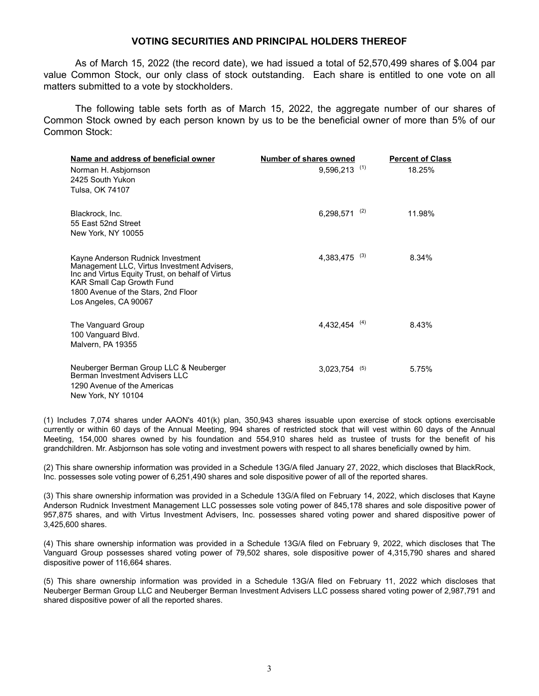#### **VOTING SECURITIES AND PRINCIPAL HOLDERS THEREOF**

As of March 15, 2022 (the record date), we had issued a total of 52,570,499 shares of \$.004 par value Common Stock, our only class of stock outstanding. Each share is entitled to one vote on all matters submitted to a vote by stockholders.

The following table sets forth as of March 15, 2022, the aggregate number of our shares of Common Stock owned by each person known by us to be the beneficial owner of more than 5% of our Common Stock:

| Name and address of beneficial owner                                                                                                                                                                                                     | Number of shares owned |     | <b>Percent of Class</b> |
|------------------------------------------------------------------------------------------------------------------------------------------------------------------------------------------------------------------------------------------|------------------------|-----|-------------------------|
| Norman H. Asbjornson<br>2425 South Yukon<br>Tulsa, OK 74107                                                                                                                                                                              | 9,596,213              | (1) | 18.25%                  |
| Blackrock, Inc.<br>55 East 52nd Street<br>New York, NY 10055                                                                                                                                                                             | 6,298,571              | (2) | 11.98%                  |
| Kayne Anderson Rudnick Investment<br>Management LLC, Virtus Investment Advisers,<br>Inc and Virtus Equity Trust, on behalf of Virtus<br><b>KAR Small Cap Growth Fund</b><br>1800 Avenue of the Stars, 2nd Floor<br>Los Angeles, CA 90067 | 4,383,475              | (3) | 8.34%                   |
| The Vanguard Group<br>100 Vanguard Blvd.<br>Malvern, PA 19355                                                                                                                                                                            | 4,432,454              | (4) | 8.43%                   |
| Neuberger Berman Group LLC & Neuberger<br>Berman Investment Advisers LLC<br>1290 Avenue of the Americas<br>New York, NY 10104                                                                                                            | $3,023,754$ (5)        |     | 5.75%                   |

(1) Includes 7,074 shares under AAON's 401(k) plan, 350,943 shares issuable upon exercise of stock options exercisable currently or within 60 days of the Annual Meeting, 994 shares of restricted stock that will vest within 60 days of the Annual Meeting, 154,000 shares owned by his foundation and 554,910 shares held as trustee of trusts for the benefit of his grandchildren. Mr. Asbjornson has sole voting and investment powers with respect to all shares beneficially owned by him.

(2) This share ownership information was provided in a Schedule 13G/A filed January 27, 2022, which discloses that BlackRock, Inc. possesses sole voting power of 6,251,490 shares and sole dispositive power of all of the reported shares.

(3) This share ownership information was provided in a Schedule 13G/A filed on February 14, 2022, which discloses that Kayne Anderson Rudnick Investment Management LLC possesses sole voting power of 845,178 shares and sole dispositive power of 957,875 shares, and with Virtus Investment Advisers, Inc. possesses shared voting power and shared dispositive power of 3,425,600 shares.

(4) This share ownership information was provided in a Schedule 13G/A filed on February 9, 2022, which discloses that The Vanguard Group possesses shared voting power of 79,502 shares, sole dispositive power of 4,315,790 shares and shared dispositive power of 116,664 shares.

(5) This share ownership information was provided in a Schedule 13G/A filed on February 11, 2022 which discloses that Neuberger Berman Group LLC and Neuberger Berman Investment Advisers LLC possess shared voting power of 2,987,791 and shared dispositive power of all the reported shares.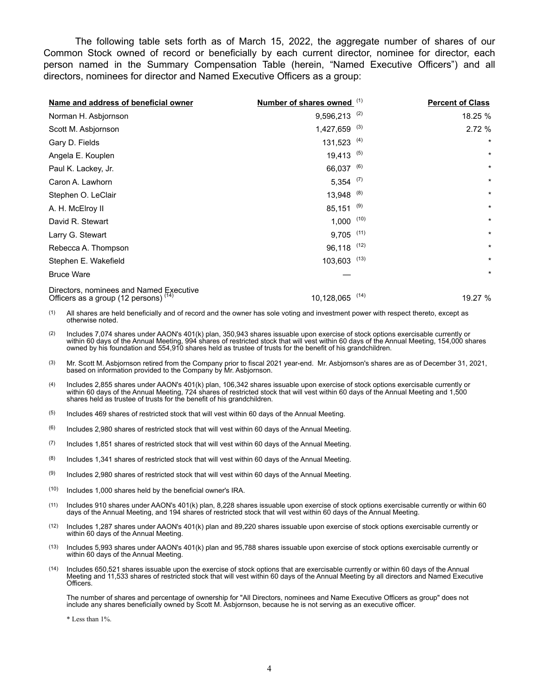The following table sets forth as of March 15, 2022, the aggregate number of shares of our Common Stock owned of record or beneficially by each current director, nominee for director, each person named in the Summary Compensation Table (herein, "Named Executive Officers") and all directors, nominees for director and Named Executive Officers as a group:

| Name and address of beneficial owner                                               | Number of shares owned (1) |      | <b>Percent of Class</b> |
|------------------------------------------------------------------------------------|----------------------------|------|-------------------------|
| Norman H. Asbjornson                                                               | $9,596,213$ <sup>(2)</sup> |      | 18.25 %                 |
| Scott M. Asbjornson                                                                | $1,427,659$ <sup>(3)</sup> |      | 2.72%                   |
| Gary D. Fields                                                                     | $131,523$ <sup>(4)</sup>   |      | $\star$                 |
| Angela E. Kouplen                                                                  | $19,413$ <sup>(5)</sup>    |      | $\star$                 |
| Paul K. Lackey, Jr.                                                                | 66,037 (6)                 |      | $^\star$                |
| Caron A. Lawhorn                                                                   | $5,354$ (7)                |      | $^\star$                |
| Stephen O. LeClair                                                                 | $13,948$ (8)               |      | $^\star$                |
| A. H. McElroy II                                                                   | $85,151$ <sup>(9)</sup>    |      | $\star$                 |
| David R. Stewart                                                                   | $1,000$ (10)               |      | $\star$                 |
| Larry G. Stewart                                                                   | $9,705$ (11)               |      | $\star$                 |
| Rebecca A. Thompson                                                                | 96,118 (12)                |      | $^\star$                |
| Stephen E. Wakefield                                                               | $103,603$ (13)             |      | $^\star$                |
| <b>Bruce Ware</b>                                                                  |                            |      | $^\star$                |
| Directors, nominees and Named Executive<br>Officers as a group (12 persons) $(14)$ | 10,128,065                 | (14) | 19.27 %                 |

(1) All shares are held beneficially and of record and the owner has sole voting and investment power with respect thereto, except as otherwise noted.

 $(2)$  Includes 7,074 shares under AAON's 401(k) plan, 350,943 shares issuable upon exercise of stock options exercisable currently or within 60 days of the Annual Meeting, 994 shares of restricted stock that will vest within 60 days of the Annual Meeting, 154,000 shares owned by his foundation and 554,910 shares held as trustee of trusts for the benefit of his grandchildren.

- (3) Mr. Scott M. Asbjornson retired from the Company prior to fiscal 2021 year-end. Mr. Asbjornson's shares are as of December 31, 2021, based on information provided to the Company by Mr. Asbjornson.
- (4) Includes 2,855 shares under AAON's 401(k) plan, 106,342 shares issuable upon exercise of stock options exercisable currently or within 60 days of the Annual Meeting, 724 shares of restricted stock that will vest within 60 days of the Annual Meeting and 1,500 shares held as trustee of trusts for the benefit of his grandchildren.
- $(5)$  Includes 469 shares of restricted stock that will vest within 60 days of the Annual Meeting.
- $(6)$  Includes 2,980 shares of restricted stock that will vest within 60 days of the Annual Meeting.
- $(7)$  Includes 1,851 shares of restricted stock that will vest within 60 days of the Annual Meeting.
- $(8)$  Includes 1,341 shares of restricted stock that will vest within 60 days of the Annual Meeting.
- (9) Includes 2,980 shares of restricted stock that will vest within 60 days of the Annual Meeting.
- (10) Includes 1,000 shares held by the beneficial owner's IRA.
- (11) Includes 910 shares under AAON's 401(k) plan, 8,228 shares issuable upon exercise of stock options exercisable currently or within 60 days of the Annual Meeting, and 194 shares of restricted stock that will vest within 60 days of the Annual Meeting.
- (12) Includes 1,287 shares under AAON's 401(k) plan and 89,220 shares issuable upon exercise of stock options exercisable currently or within 60 days of the Annual Meeting.
- (13) Includes 5,993 shares under AAON's 401(k) plan and 95,788 shares issuable upon exercise of stock options exercisable currently or within 60 days of the Annual Meeting.
- (14) Includes 650,521 shares issuable upon the exercise of stock options that are exercisable currently or within 60 days of the Annual Meeting and 11,533 shares of restricted stock that will vest within 60 days of the Annual Meeting by all directors and Named Executive Officers.

The number of shares and percentage of ownership for "All Directors, nominees and Name Executive Officers as group" does not include any shares beneficially owned by Scott M. Asbjornson, because he is not serving as an executive officer.

\* Less than 1%.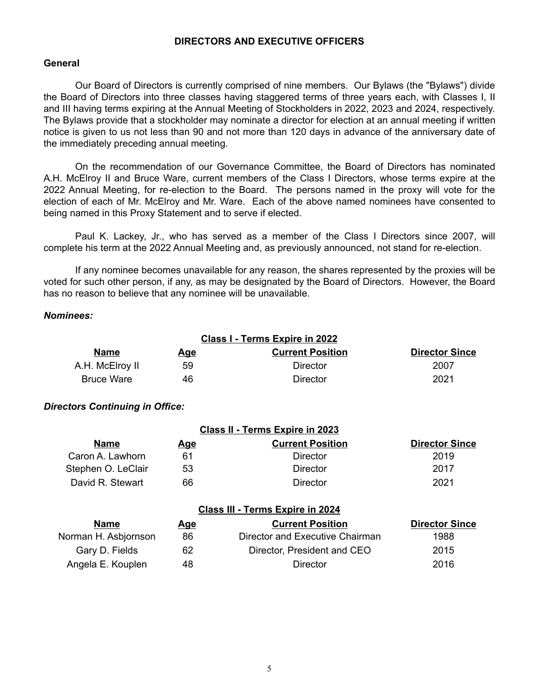# **DIRECTORS AND EXECUTIVE OFFICERS**

### **General**

Our Board of Directors is currently comprised of nine members. Our Bylaws (the "Bylaws") divide the Board of Directors into three classes having staggered terms of three years each, with Classes I, II and III having terms expiring at the Annual Meeting of Stockholders in 2022, 2023 and 2024, respectively. The Bylaws provide that a stockholder may nominate a director for election at an annual meeting if written notice is given to us not less than 90 and not more than 120 days in advance of the anniversary date of the immediately preceding annual meeting.

On the recommendation of our Governance Committee, the Board of Directors has nominated A.H. McElroy II and Bruce Ware, current members of the Class I Directors, whose terms expire at the 2022 Annual Meeting, for re-election to the Board. The persons named in the proxy will vote for the election of each of Mr. McElroy and Mr. Ware. Each of the above named nominees have consented to being named in this Proxy Statement and to serve if elected.

Paul K. Lackey, Jr., who has served as a member of the Class I Directors since 2007, will complete his term at the 2022 Annual Meeting and, as previously announced, not stand for re-election.

If any nominee becomes unavailable for any reason, the shares represented by the proxies will be voted for such other person, if any, as may be designated by the Board of Directors. However, the Board has no reason to believe that any nominee will be unavailable.

# *Nominees:*

| Class I - Terms Expire in 2022 |     |                         |                       |
|--------------------------------|-----|-------------------------|-----------------------|
| <b>Name</b>                    | Age | <b>Current Position</b> | <b>Director Since</b> |
| A.H. McElroy II                | 59  | Director                | 2007                  |
| <b>Bruce Ware</b>              | 46  | Director                | 2021                  |

# *Directors Continuing in Office:*

| Class II - Terms Expire in 2023 |            |                         |                       |
|---------------------------------|------------|-------------------------|-----------------------|
| <b>Name</b>                     | <u>Age</u> | <b>Current Position</b> | <b>Director Since</b> |
| Caron A. Lawhorn                | 61         | Director                | 2019                  |
| Stephen O. LeClair              | 53         | Director                | 2017                  |
| David R. Stewart                | 66         | Director                | 2021                  |

### **Class III - Terms Expire in 2024**

| <b>Name</b>          | <u>Age</u> | <b>Current Position</b>         | <b>Director Since</b> |
|----------------------|------------|---------------------------------|-----------------------|
| Norman H. Asbjornson | 86         | Director and Executive Chairman | 1988                  |
| Gary D. Fields       | 62         | Director, President and CEO     | 2015                  |
| Angela E. Kouplen    | 48         | Director                        | 2016                  |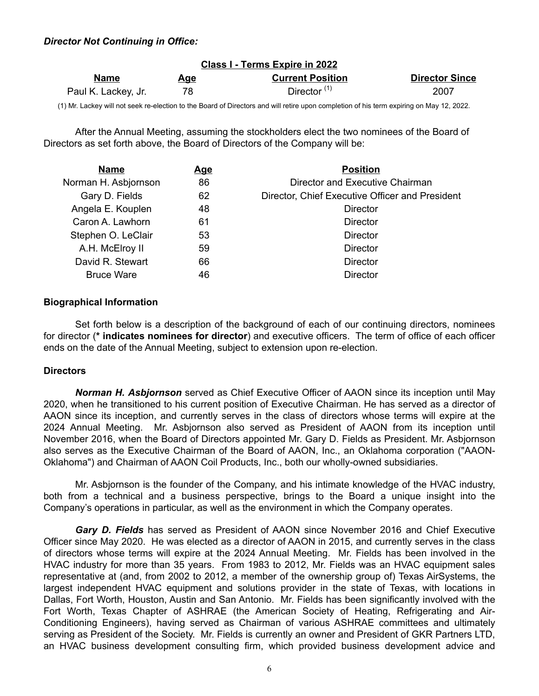# *Director Not Continuing in Office:*

| Class I - Terms Expire in 2022 |            |                         |                       |
|--------------------------------|------------|-------------------------|-----------------------|
| <b>Name</b>                    | <u>Age</u> | <b>Current Position</b> | <b>Director Since</b> |
| Paul K. Lackey, Jr.            | 78         | Director $(1)$          | 2007                  |

(1) Mr. Lackey will not seek re-election to the Board of Directors and will retire upon completion of his term expiring on May 12, 2022.

After the Annual Meeting, assuming the stockholders elect the two nominees of the Board of Directors as set forth above, the Board of Directors of the Company will be:

| <b>Name</b>          | <u>Age</u> | <b>Position</b>                                 |
|----------------------|------------|-------------------------------------------------|
| Norman H. Asbjornson | 86         | Director and Executive Chairman                 |
| Gary D. Fields       | 62         | Director, Chief Executive Officer and President |
| Angela E. Kouplen    | 48         | <b>Director</b>                                 |
| Caron A. Lawhorn     | 61         | Director                                        |
| Stephen O. LeClair   | 53         | <b>Director</b>                                 |
| A.H. McElroy II      | 59         | <b>Director</b>                                 |
| David R. Stewart     | 66         | <b>Director</b>                                 |
| <b>Bruce Ware</b>    | 46         | <b>Director</b>                                 |
|                      |            |                                                 |

#### **Biographical Information**

Set forth below is a description of the background of each of our continuing directors, nominees for director (**\* indicates nominees for director**) and executive officers. The term of office of each officer ends on the date of the Annual Meeting, subject to extension upon re-election.

### **Directors**

*Norman H. Asbjornson* served as Chief Executive Officer of AAON since its inception until May 2020, when he transitioned to his current position of Executive Chairman. He has served as a director of AAON since its inception, and currently serves in the class of directors whose terms will expire at the 2024 Annual Meeting. Mr. Asbjornson also served as President of AAON from its inception until November 2016, when the Board of Directors appointed Mr. Gary D. Fields as President. Mr. Asbjornson also serves as the Executive Chairman of the Board of AAON, Inc., an Oklahoma corporation ("AAON-Oklahoma") and Chairman of AAON Coil Products, Inc., both our wholly-owned subsidiaries.

Mr. Asbjornson is the founder of the Company, and his intimate knowledge of the HVAC industry, both from a technical and a business perspective, brings to the Board a unique insight into the Company's operations in particular, as well as the environment in which the Company operates.

*Gary D. Fields* has served as President of AAON since November 2016 and Chief Executive Officer since May 2020. He was elected as a director of AAON in 2015, and currently serves in the class of directors whose terms will expire at the 2024 Annual Meeting. Mr. Fields has been involved in the HVAC industry for more than 35 years. From 1983 to 2012, Mr. Fields was an HVAC equipment sales representative at (and, from 2002 to 2012, a member of the ownership group of) Texas AirSystems, the largest independent HVAC equipment and solutions provider in the state of Texas, with locations in Dallas, Fort Worth, Houston, Austin and San Antonio. Mr. Fields has been significantly involved with the Fort Worth, Texas Chapter of ASHRAE (the American Society of Heating, Refrigerating and Air-Conditioning Engineers), having served as Chairman of various ASHRAE committees and ultimately serving as President of the Society. Mr. Fields is currently an owner and President of GKR Partners LTD, an HVAC business development consulting firm, which provided business development advice and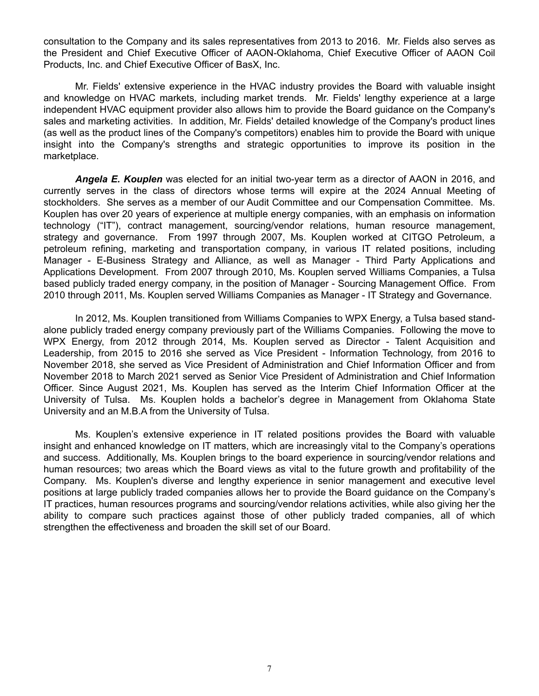consultation to the Company and its sales representatives from 2013 to 2016. Mr. Fields also serves as the President and Chief Executive Officer of AAON-Oklahoma, Chief Executive Officer of AAON Coil Products, Inc. and Chief Executive Officer of BasX, Inc.

Mr. Fields' extensive experience in the HVAC industry provides the Board with valuable insight and knowledge on HVAC markets, including market trends. Mr. Fields' lengthy experience at a large independent HVAC equipment provider also allows him to provide the Board guidance on the Company's sales and marketing activities. In addition, Mr. Fields' detailed knowledge of the Company's product lines (as well as the product lines of the Company's competitors) enables him to provide the Board with unique insight into the Company's strengths and strategic opportunities to improve its position in the marketplace.

*Angela E. Kouplen* was elected for an initial two-year term as a director of AAON in 2016, and currently serves in the class of directors whose terms will expire at the 2024 Annual Meeting of stockholders. She serves as a member of our Audit Committee and our Compensation Committee. Ms. Kouplen has over 20 years of experience at multiple energy companies, with an emphasis on information technology ("IT"), contract management, sourcing/vendor relations, human resource management, strategy and governance. From 1997 through 2007, Ms. Kouplen worked at CITGO Petroleum, a petroleum refining, marketing and transportation company, in various IT related positions, including Manager - E-Business Strategy and Alliance, as well as Manager - Third Party Applications and Applications Development. From 2007 through 2010, Ms. Kouplen served Williams Companies, a Tulsa based publicly traded energy company, in the position of Manager - Sourcing Management Office. From 2010 through 2011, Ms. Kouplen served Williams Companies as Manager - IT Strategy and Governance.

In 2012, Ms. Kouplen transitioned from Williams Companies to WPX Energy, a Tulsa based standalone publicly traded energy company previously part of the Williams Companies. Following the move to WPX Energy, from 2012 through 2014, Ms. Kouplen served as Director - Talent Acquisition and Leadership, from 2015 to 2016 she served as Vice President - Information Technology, from 2016 to November 2018, she served as Vice President of Administration and Chief Information Officer and from November 2018 to March 2021 served as Senior Vice President of Administration and Chief Information Officer. Since August 2021, Ms. Kouplen has served as the Interim Chief Information Officer at the University of Tulsa. Ms. Kouplen holds a bachelor's degree in Management from Oklahoma State University and an M.B.A from the University of Tulsa.

Ms. Kouplen's extensive experience in IT related positions provides the Board with valuable insight and enhanced knowledge on IT matters, which are increasingly vital to the Company's operations and success. Additionally, Ms. Kouplen brings to the board experience in sourcing/vendor relations and human resources; two areas which the Board views as vital to the future growth and profitability of the Company. Ms. Kouplen's diverse and lengthy experience in senior management and executive level positions at large publicly traded companies allows her to provide the Board guidance on the Company's IT practices, human resources programs and sourcing/vendor relations activities, while also giving her the ability to compare such practices against those of other publicly traded companies, all of which strengthen the effectiveness and broaden the skill set of our Board.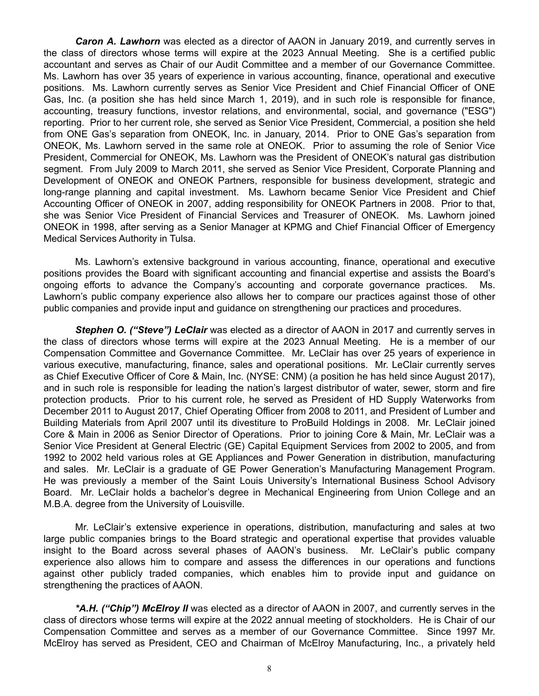*Caron A. Lawhorn* was elected as a director of AAON in January 2019, and currently serves in the class of directors whose terms will expire at the 2023 Annual Meeting. She is a certified public accountant and serves as Chair of our Audit Committee and a member of our Governance Committee. Ms. Lawhorn has over 35 years of experience in various accounting, finance, operational and executive positions. Ms. Lawhorn currently serves as Senior Vice President and Chief Financial Officer of ONE Gas, Inc. (a position she has held since March 1, 2019), and in such role is responsible for finance, accounting, treasury functions, investor relations, and environmental, social, and governance ("ESG") reporting. Prior to her current role, she served as Senior Vice President, Commercial, a position she held from ONE Gas's separation from ONEOK, Inc. in January, 2014. Prior to ONE Gas's separation from ONEOK, Ms. Lawhorn served in the same role at ONEOK. Prior to assuming the role of Senior Vice President, Commercial for ONEOK, Ms. Lawhorn was the President of ONEOK's natural gas distribution segment. From July 2009 to March 2011, she served as Senior Vice President, Corporate Planning and Development of ONEOK and ONEOK Partners, responsible for business development, strategic and long-range planning and capital investment. Ms. Lawhorn became Senior Vice President and Chief Accounting Officer of ONEOK in 2007, adding responsibility for ONEOK Partners in 2008. Prior to that, she was Senior Vice President of Financial Services and Treasurer of ONEOK. Ms. Lawhorn joined ONEOK in 1998, after serving as a Senior Manager at KPMG and Chief Financial Officer of Emergency Medical Services Authority in Tulsa.

Ms. Lawhorn's extensive background in various accounting, finance, operational and executive positions provides the Board with significant accounting and financial expertise and assists the Board's ongoing efforts to advance the Company's accounting and corporate governance practices. Ms. Lawhorn's public company experience also allows her to compare our practices against those of other public companies and provide input and guidance on strengthening our practices and procedures.

*Stephen O. ("Steve") LeClair* was elected as a director of AAON in 2017 and currently serves in the class of directors whose terms will expire at the 2023 Annual Meeting. He is a member of our Compensation Committee and Governance Committee. Mr. LeClair has over 25 years of experience in various executive, manufacturing, finance, sales and operational positions. Mr. LeClair currently serves as Chief Executive Officer of Core & Main, Inc. (NYSE: CNM) (a position he has held since August 2017), and in such role is responsible for leading the nation's largest distributor of water, sewer, storm and fire protection products. Prior to his current role, he served as President of HD Supply Waterworks from December 2011 to August 2017, Chief Operating Officer from 2008 to 2011, and President of Lumber and Building Materials from April 2007 until its divestiture to ProBuild Holdings in 2008. Mr. LeClair joined Core & Main in 2006 as Senior Director of Operations. Prior to joining Core & Main, Mr. LeClair was a Senior Vice President at General Electric (GE) Capital Equipment Services from 2002 to 2005, and from 1992 to 2002 held various roles at GE Appliances and Power Generation in distribution, manufacturing and sales. Mr. LeClair is a graduate of GE Power Generation's Manufacturing Management Program. He was previously a member of the Saint Louis University's International Business School Advisory Board. Mr. LeClair holds a bachelor's degree in Mechanical Engineering from Union College and an M.B.A. degree from the University of Louisville.

Mr. LeClair's extensive experience in operations, distribution, manufacturing and sales at two large public companies brings to the Board strategic and operational expertise that provides valuable insight to the Board across several phases of AAON's business. Mr. LeClair's public company experience also allows him to compare and assess the differences in our operations and functions against other publicly traded companies, which enables him to provide input and guidance on strengthening the practices of AAON.

*\*A.H. ("Chip") McElroy II* was elected as a director of AAON in 2007, and currently serves in the class of directors whose terms will expire at the 2022 annual meeting of stockholders. He is Chair of our Compensation Committee and serves as a member of our Governance Committee. Since 1997 Mr. McElroy has served as President, CEO and Chairman of McElroy Manufacturing, Inc., a privately held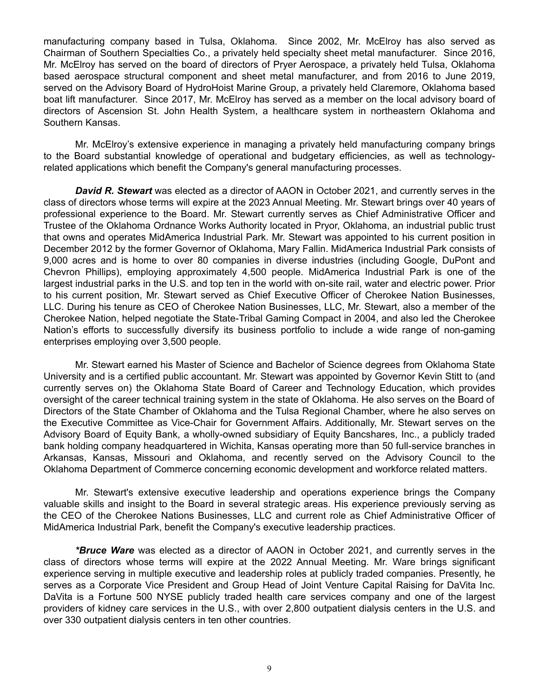manufacturing company based in Tulsa, Oklahoma. Since 2002, Mr. McElroy has also served as Chairman of Southern Specialties Co., a privately held specialty sheet metal manufacturer. Since 2016, Mr. McElroy has served on the board of directors of Pryer Aerospace, a privately held Tulsa, Oklahoma based aerospace structural component and sheet metal manufacturer, and from 2016 to June 2019, served on the Advisory Board of HydroHoist Marine Group, a privately held Claremore, Oklahoma based boat lift manufacturer. Since 2017, Mr. McElroy has served as a member on the local advisory board of directors of Ascension St. John Health System, a healthcare system in northeastern Oklahoma and Southern Kansas.

Mr. McElroy's extensive experience in managing a privately held manufacturing company brings to the Board substantial knowledge of operational and budgetary efficiencies, as well as technologyrelated applications which benefit the Company's general manufacturing processes.

*David R. Stewart* was elected as a director of AAON in October 2021, and currently serves in the class of directors whose terms will expire at the 2023 Annual Meeting. Mr. Stewart brings over 40 years of professional experience to the Board. Mr. Stewart currently serves as Chief Administrative Officer and Trustee of the Oklahoma Ordnance Works Authority located in Pryor, Oklahoma, an industrial public trust that owns and operates MidAmerica Industrial Park. Mr. Stewart was appointed to his current position in December 2012 by the former Governor of Oklahoma, Mary Fallin. MidAmerica Industrial Park consists of 9,000 acres and is home to over 80 companies in diverse industries (including Google, DuPont and Chevron Phillips), employing approximately 4,500 people. MidAmerica Industrial Park is one of the largest industrial parks in the U.S. and top ten in the world with on-site rail, water and electric power. Prior to his current position, Mr. Stewart served as Chief Executive Officer of Cherokee Nation Businesses, LLC. During his tenure as CEO of Cherokee Nation Businesses, LLC, Mr. Stewart, also a member of the Cherokee Nation, helped negotiate the State-Tribal Gaming Compact in 2004, and also led the Cherokee Nation's efforts to successfully diversify its business portfolio to include a wide range of non-gaming enterprises employing over 3,500 people.

Mr. Stewart earned his Master of Science and Bachelor of Science degrees from Oklahoma State University and is a certified public accountant. Mr. Stewart was appointed by Governor Kevin Stitt to (and currently serves on) the Oklahoma State Board of Career and Technology Education, which provides oversight of the career technical training system in the state of Oklahoma. He also serves on the Board of Directors of the State Chamber of Oklahoma and the Tulsa Regional Chamber, where he also serves on the Executive Committee as Vice-Chair for Government Affairs. Additionally, Mr. Stewart serves on the Advisory Board of Equity Bank, a wholly-owned subsidiary of Equity Bancshares, Inc., a publicly traded bank holding company headquartered in Wichita, Kansas operating more than 50 full-service branches in Arkansas, Kansas, Missouri and Oklahoma, and recently served on the Advisory Council to the Oklahoma Department of Commerce concerning economic development and workforce related matters.

Mr. Stewart's extensive executive leadership and operations experience brings the Company valuable skills and insight to the Board in several strategic areas. His experience previously serving as the CEO of the Cherokee Nations Businesses, LLC and current role as Chief Administrative Officer of MidAmerica Industrial Park, benefit the Company's executive leadership practices.

*\*Bruce Ware* was elected as a director of AAON in October 2021, and currently serves in the class of directors whose terms will expire at the 2022 Annual Meeting. Mr. Ware brings significant experience serving in multiple executive and leadership roles at publicly traded companies. Presently, he serves as a Corporate Vice President and Group Head of Joint Venture Capital Raising for DaVita Inc. DaVita is a Fortune 500 NYSE publicly traded health care services company and one of the largest providers of kidney care services in the U.S., with over 2,800 outpatient dialysis centers in the U.S. and over 330 outpatient dialysis centers in ten other countries.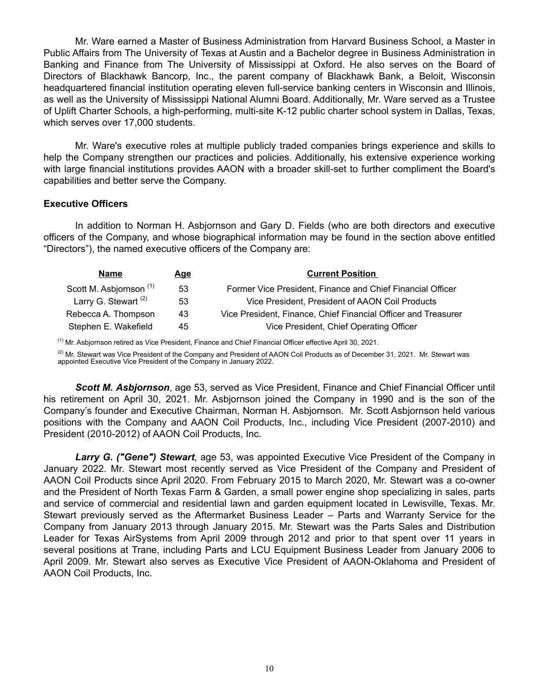Mr. Ware earned a Master of Business Administration from Harvard Business School, a Master in Public Affairs from The University of Texas at Austin and a Bachelor degree in Business Administration in Banking and Finance from The University of Mississippi at Oxford. He also serves on the Board of Directors of Blackhawk Bancorp, Inc., the parent company of Blackhawk Bank, a Beloit, Wisconsin headquartered financial institution operating eleven full-service banking centers in Wisconsin and Illinois, as well as the University of Mississippi National Alumni Board. Additionally, Mr. Ware served as a Trustee of Uplift Charter Schools, a high-performing, multi-site K-12 public charter school system in Dallas, Texas, which serves over 17,000 students.

Mr. Ware's executive roles at multiple publicly traded companies brings experience and skills to help the Company strengthen our practices and policies. Additionally, his extensive experience working with large financial institutions provides AAON with a broader skill-set to further compliment the Board's capabilities and better serve the Company.

### **Executive Officers**

In addition to Norman H. Asbjornson and Gary D. Fields (who are both directors and executive officers of the Company, and whose biographical information may be found in the section above entitled "Directors"), the named executive officers of the Company are:

| <b>Name</b>                        | Age | <b>Current Position</b>                                        |
|------------------------------------|-----|----------------------------------------------------------------|
| Scott M. Asbjornson <sup>(1)</sup> | 53  | Former Vice President, Finance and Chief Financial Officer     |
| Larry G. Stewart <sup>(2)</sup>    | 53  | Vice President, President of AAON Coil Products                |
| Rebecca A. Thompson                | 43  | Vice President, Finance, Chief Financial Officer and Treasurer |
| Stephen E. Wakefield               | 45  | Vice President, Chief Operating Officer                        |

 $<sup>(1)</sup>$  Mr. Asbjornson retired as Vice President, Finance and Chief Financial Officer effective April 30, 2021.</sup>

<sup>(2)</sup> Mr. Stewart was Vice President of the Company and President of AAON Coil Products as of December 31, 2021. Mr. Stewart was appointed Executive Vice President of the Company in January 2022.

*Scott M. Asbjornson*, age 53, served as Vice President, Finance and Chief Financial Officer until his retirement on April 30, 2021. Mr. Asbjornson joined the Company in 1990 and is the son of the Company's founder and Executive Chairman, Norman H. Asbjornson. Mr. Scott Asbjornson held various positions with the Company and AAON Coil Products, Inc., including Vice President (2007-2010) and President (2010-2012) of AAON Coil Products, Inc.

*Larry G. ("Gene") Stewart*, age 53, was appointed Executive Vice President of the Company in January 2022. Mr. Stewart most recently served as Vice President of the Company and President of AAON Coil Products since April 2020. From February 2015 to March 2020, Mr. Stewart was a co-owner and the President of North Texas Farm & Garden, a small power engine shop specializing in sales, parts and service of commercial and residential lawn and garden equipment located in Lewisville, Texas. Mr. Stewart previously served as the Aftermarket Business Leader – Parts and Warranty Service for the Company from January 2013 through January 2015. Mr. Stewart was the Parts Sales and Distribution Leader for Texas AirSystems from April 2009 through 2012 and prior to that spent over 11 years in several positions at Trane, including Parts and LCU Equipment Business Leader from January 2006 to April 2009. Mr. Stewart also serves as Executive Vice President of AAON-Oklahoma and President of AAON Coil Products, Inc.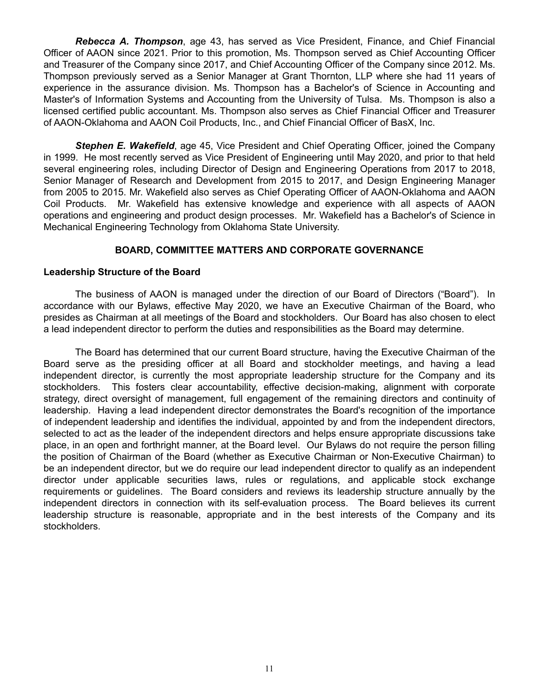*Rebecca A. Thompson*, age 43, has served as Vice President, Finance, and Chief Financial Officer of AAON since 2021. Prior to this promotion, Ms. Thompson served as Chief Accounting Officer and Treasurer of the Company since 2017, and Chief Accounting Officer of the Company since 2012. Ms. Thompson previously served as a Senior Manager at Grant Thornton, LLP where she had 11 years of experience in the assurance division. Ms. Thompson has a Bachelor's of Science in Accounting and Master's of Information Systems and Accounting from the University of Tulsa. Ms. Thompson is also a licensed certified public accountant. Ms. Thompson also serves as Chief Financial Officer and Treasurer of AAON-Oklahoma and AAON Coil Products, Inc., and Chief Financial Officer of BasX, Inc.

*Stephen E. Wakefield*, age 45, Vice President and Chief Operating Officer, joined the Company in 1999. He most recently served as Vice President of Engineering until May 2020, and prior to that held several engineering roles, including Director of Design and Engineering Operations from 2017 to 2018, Senior Manager of Research and Development from 2015 to 2017, and Design Engineering Manager from 2005 to 2015. Mr. Wakefield also serves as Chief Operating Officer of AAON-Oklahoma and AAON Coil Products. Mr. Wakefield has extensive knowledge and experience with all aspects of AAON operations and engineering and product design processes. Mr. Wakefield has a Bachelor's of Science in Mechanical Engineering Technology from Oklahoma State University.

# **BOARD, COMMITTEE MATTERS AND CORPORATE GOVERNANCE**

### **Leadership Structure of the Board**

The business of AAON is managed under the direction of our Board of Directors ("Board"). In accordance with our Bylaws, effective May 2020, we have an Executive Chairman of the Board, who presides as Chairman at all meetings of the Board and stockholders. Our Board has also chosen to elect a lead independent director to perform the duties and responsibilities as the Board may determine.

The Board has determined that our current Board structure, having the Executive Chairman of the Board serve as the presiding officer at all Board and stockholder meetings, and having a lead independent director, is currently the most appropriate leadership structure for the Company and its stockholders. This fosters clear accountability, effective decision-making, alignment with corporate strategy, direct oversight of management, full engagement of the remaining directors and continuity of leadership. Having a lead independent director demonstrates the Board's recognition of the importance of independent leadership and identifies the individual, appointed by and from the independent directors, selected to act as the leader of the independent directors and helps ensure appropriate discussions take place, in an open and forthright manner, at the Board level. Our Bylaws do not require the person filling the position of Chairman of the Board (whether as Executive Chairman or Non-Executive Chairman) to be an independent director, but we do require our lead independent director to qualify as an independent director under applicable securities laws, rules or regulations, and applicable stock exchange requirements or guidelines. The Board considers and reviews its leadership structure annually by the independent directors in connection with its self-evaluation process. The Board believes its current leadership structure is reasonable, appropriate and in the best interests of the Company and its stockholders.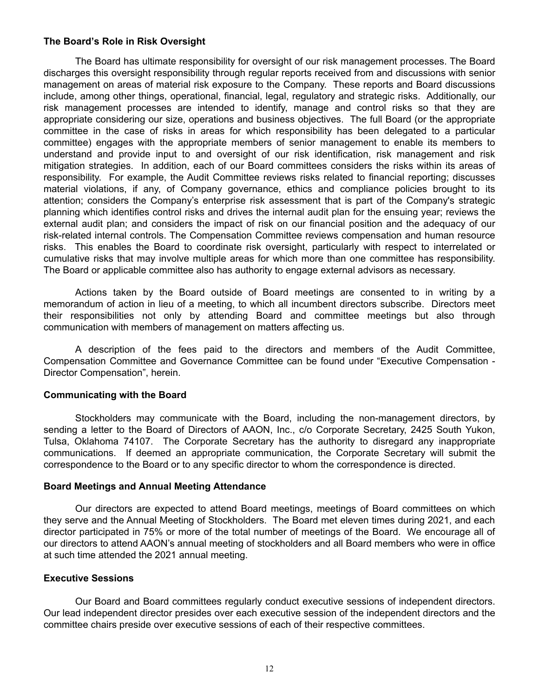### **The Board's Role in Risk Oversight**

The Board has ultimate responsibility for oversight of our risk management processes. The Board discharges this oversight responsibility through regular reports received from and discussions with senior management on areas of material risk exposure to the Company. These reports and Board discussions include, among other things, operational, financial, legal, regulatory and strategic risks. Additionally, our risk management processes are intended to identify, manage and control risks so that they are appropriate considering our size, operations and business objectives. The full Board (or the appropriate committee in the case of risks in areas for which responsibility has been delegated to a particular committee) engages with the appropriate members of senior management to enable its members to understand and provide input to and oversight of our risk identification, risk management and risk mitigation strategies. In addition, each of our Board committees considers the risks within its areas of responsibility. For example, the Audit Committee reviews risks related to financial reporting; discusses material violations, if any, of Company governance, ethics and compliance policies brought to its attention; considers the Company's enterprise risk assessment that is part of the Company's strategic planning which identifies control risks and drives the internal audit plan for the ensuing year; reviews the external audit plan; and considers the impact of risk on our financial position and the adequacy of our risk-related internal controls. The Compensation Committee reviews compensation and human resource risks. This enables the Board to coordinate risk oversight, particularly with respect to interrelated or cumulative risks that may involve multiple areas for which more than one committee has responsibility. The Board or applicable committee also has authority to engage external advisors as necessary.

Actions taken by the Board outside of Board meetings are consented to in writing by a memorandum of action in lieu of a meeting, to which all incumbent directors subscribe. Directors meet their responsibilities not only by attending Board and committee meetings but also through communication with members of management on matters affecting us.

A description of the fees paid to the directors and members of the Audit Committee, Compensation Committee and Governance Committee can be found under "Executive Compensation - Director Compensation", herein.

### **Communicating with the Board**

Stockholders may communicate with the Board, including the non-management directors, by sending a letter to the Board of Directors of AAON, Inc., c/o Corporate Secretary, 2425 South Yukon, Tulsa, Oklahoma 74107. The Corporate Secretary has the authority to disregard any inappropriate communications. If deemed an appropriate communication, the Corporate Secretary will submit the correspondence to the Board or to any specific director to whom the correspondence is directed.

#### **Board Meetings and Annual Meeting Attendance**

Our directors are expected to attend Board meetings, meetings of Board committees on which they serve and the Annual Meeting of Stockholders. The Board met eleven times during 2021, and each director participated in 75% or more of the total number of meetings of the Board. We encourage all of our directors to attend AAON's annual meeting of stockholders and all Board members who were in office at such time attended the 2021 annual meeting.

### **Executive Sessions**

Our Board and Board committees regularly conduct executive sessions of independent directors. Our lead independent director presides over each executive session of the independent directors and the committee chairs preside over executive sessions of each of their respective committees.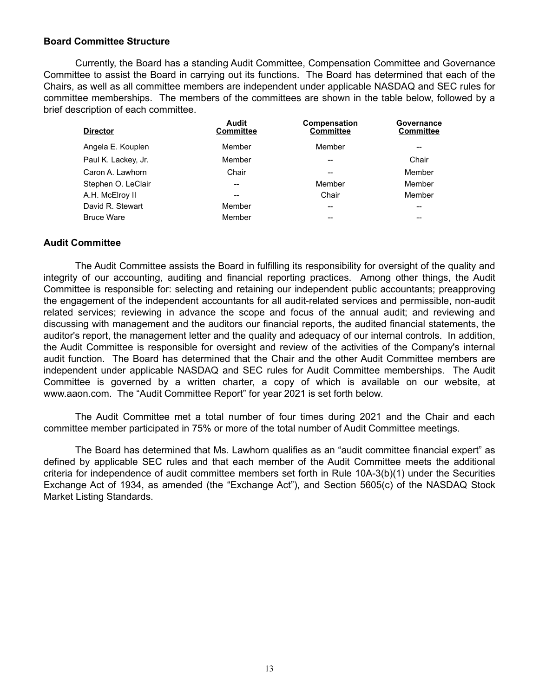### **Board Committee Structure**

Currently, the Board has a standing Audit Committee, Compensation Committee and Governance Committee to assist the Board in carrying out its functions. The Board has determined that each of the Chairs, as well as all committee members are independent under applicable NASDAQ and SEC rules for committee memberships. The members of the committees are shown in the table below, followed by a brief description of each committee.

| Audit<br><b>Committee</b> | Compensation<br><b>Committee</b> | Governance<br><b>Committee</b> |
|---------------------------|----------------------------------|--------------------------------|
| Member                    | Member                           |                                |
| Member                    | $- -$                            | Chair                          |
| Chair                     | --                               | Member                         |
| --                        | Member                           | Member                         |
|                           | Chair                            | Member                         |
| Member                    | $- -$                            | $- -$                          |
| Member                    | --                               | --                             |
|                           |                                  |                                |

# **Audit Committee**

The Audit Committee assists the Board in fulfilling its responsibility for oversight of the quality and integrity of our accounting, auditing and financial reporting practices. Among other things, the Audit Committee is responsible for: selecting and retaining our independent public accountants; preapproving the engagement of the independent accountants for all audit-related services and permissible, non-audit related services; reviewing in advance the scope and focus of the annual audit; and reviewing and discussing with management and the auditors our financial reports, the audited financial statements, the auditor's report, the management letter and the quality and adequacy of our internal controls. In addition, the Audit Committee is responsible for oversight and review of the activities of the Company's internal audit function. The Board has determined that the Chair and the other Audit Committee members are independent under applicable NASDAQ and SEC rules for Audit Committee memberships. The Audit Committee is governed by a written charter, a copy of which is available on our website, at www.aaon.com. The "Audit Committee Report" for year 2021 is set forth below.

The Audit Committee met a total number of four times during 2021 and the Chair and each committee member participated in 75% or more of the total number of Audit Committee meetings.

The Board has determined that Ms. Lawhorn qualifies as an "audit committee financial expert" as defined by applicable SEC rules and that each member of the Audit Committee meets the additional criteria for independence of audit committee members set forth in Rule 10A-3(b)(1) under the Securities Exchange Act of 1934, as amended (the "Exchange Act"), and Section 5605(c) of the NASDAQ Stock Market Listing Standards.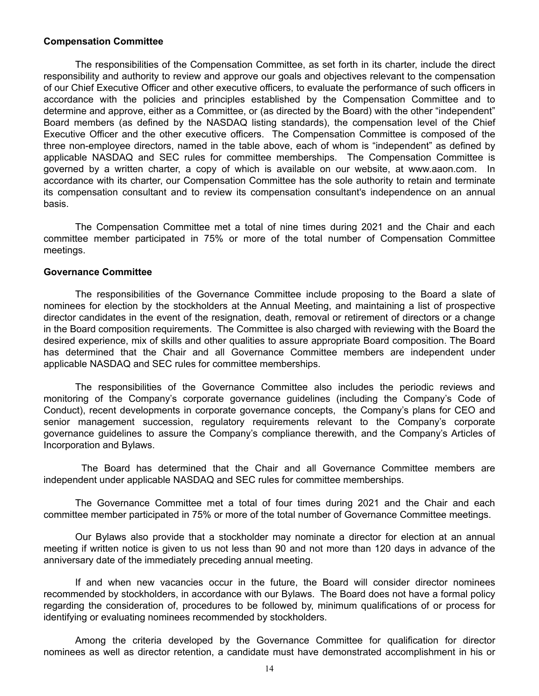#### **Compensation Committee**

The responsibilities of the Compensation Committee, as set forth in its charter, include the direct responsibility and authority to review and approve our goals and objectives relevant to the compensation of our Chief Executive Officer and other executive officers, to evaluate the performance of such officers in accordance with the policies and principles established by the Compensation Committee and to determine and approve, either as a Committee, or (as directed by the Board) with the other "independent" Board members (as defined by the NASDAQ listing standards), the compensation level of the Chief Executive Officer and the other executive officers. The Compensation Committee is composed of the three non-employee directors, named in the table above, each of whom is "independent" as defined by applicable NASDAQ and SEC rules for committee memberships. The Compensation Committee is governed by a written charter, a copy of which is available on our website, at www.aaon.com. In accordance with its charter, our Compensation Committee has the sole authority to retain and terminate its compensation consultant and to review its compensation consultant's independence on an annual basis.

The Compensation Committee met a total of nine times during 2021 and the Chair and each committee member participated in 75% or more of the total number of Compensation Committee meetings.

#### **Governance Committee**

The responsibilities of the Governance Committee include proposing to the Board a slate of nominees for election by the stockholders at the Annual Meeting, and maintaining a list of prospective director candidates in the event of the resignation, death, removal or retirement of directors or a change in the Board composition requirements. The Committee is also charged with reviewing with the Board the desired experience, mix of skills and other qualities to assure appropriate Board composition. The Board has determined that the Chair and all Governance Committee members are independent under applicable NASDAQ and SEC rules for committee memberships.

The responsibilities of the Governance Committee also includes the periodic reviews and monitoring of the Company's corporate governance guidelines (including the Company's Code of Conduct), recent developments in corporate governance concepts, the Company's plans for CEO and senior management succession, regulatory requirements relevant to the Company's corporate governance guidelines to assure the Company's compliance therewith, and the Company's Articles of Incorporation and Bylaws.

 The Board has determined that the Chair and all Governance Committee members are independent under applicable NASDAQ and SEC rules for committee memberships.

The Governance Committee met a total of four times during 2021 and the Chair and each committee member participated in 75% or more of the total number of Governance Committee meetings.

Our Bylaws also provide that a stockholder may nominate a director for election at an annual meeting if written notice is given to us not less than 90 and not more than 120 days in advance of the anniversary date of the immediately preceding annual meeting.

If and when new vacancies occur in the future, the Board will consider director nominees recommended by stockholders, in accordance with our Bylaws. The Board does not have a formal policy regarding the consideration of, procedures to be followed by, minimum qualifications of or process for identifying or evaluating nominees recommended by stockholders.

Among the criteria developed by the Governance Committee for qualification for director nominees as well as director retention, a candidate must have demonstrated accomplishment in his or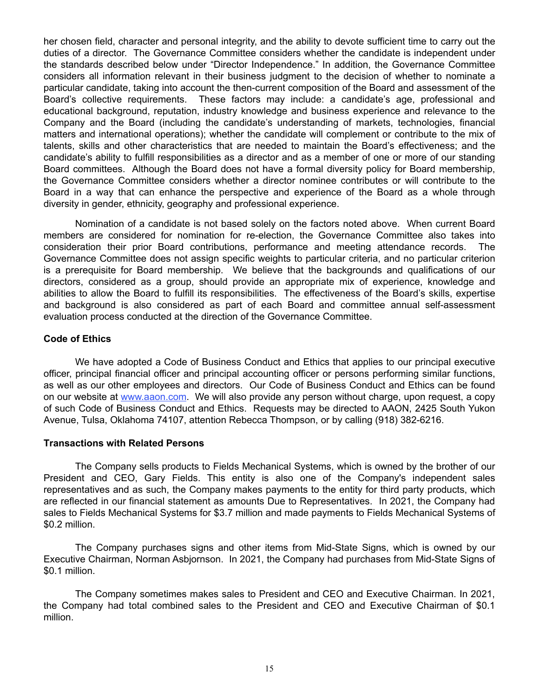her chosen field, character and personal integrity, and the ability to devote sufficient time to carry out the duties of a director. The Governance Committee considers whether the candidate is independent under the standards described below under "Director Independence." In addition, the Governance Committee considers all information relevant in their business judgment to the decision of whether to nominate a particular candidate, taking into account the then-current composition of the Board and assessment of the Board's collective requirements. These factors may include: a candidate's age, professional and educational background, reputation, industry knowledge and business experience and relevance to the Company and the Board (including the candidate's understanding of markets, technologies, financial matters and international operations); whether the candidate will complement or contribute to the mix of talents, skills and other characteristics that are needed to maintain the Board's effectiveness; and the candidate's ability to fulfill responsibilities as a director and as a member of one or more of our standing Board committees. Although the Board does not have a formal diversity policy for Board membership, the Governance Committee considers whether a director nominee contributes or will contribute to the Board in a way that can enhance the perspective and experience of the Board as a whole through diversity in gender, ethnicity, geography and professional experience.

Nomination of a candidate is not based solely on the factors noted above. When current Board members are considered for nomination for re-election, the Governance Committee also takes into consideration their prior Board contributions, performance and meeting attendance records. The Governance Committee does not assign specific weights to particular criteria, and no particular criterion is a prerequisite for Board membership. We believe that the backgrounds and qualifications of our directors, considered as a group, should provide an appropriate mix of experience, knowledge and abilities to allow the Board to fulfill its responsibilities. The effectiveness of the Board's skills, expertise and background is also considered as part of each Board and committee annual self-assessment evaluation process conducted at the direction of the Governance Committee.

# **Code of Ethics**

We have adopted a Code of Business Conduct and Ethics that applies to our principal executive officer, principal financial officer and principal accounting officer or persons performing similar functions, as well as our other employees and directors. Our Code of Business Conduct and Ethics can be found on our website at www.aaon.com. We will also provide any person without charge, upon request, a copy of such Code of Business Conduct and Ethics. Requests may be directed to AAON, 2425 South Yukon Avenue, Tulsa, Oklahoma 74107, attention Rebecca Thompson, or by calling (918) 382-6216.

### **Transactions with Related Persons**

The Company sells products to Fields Mechanical Systems, which is owned by the brother of our President and CEO, Gary Fields. This entity is also one of the Company's independent sales representatives and as such, the Company makes payments to the entity for third party products, which are reflected in our financial statement as amounts Due to Representatives. In 2021, the Company had sales to Fields Mechanical Systems for \$3.7 million and made payments to Fields Mechanical Systems of \$0.2 million.

The Company purchases signs and other items from Mid-State Signs, which is owned by our Executive Chairman, Norman Asbjornson. In 2021, the Company had purchases from Mid-State Signs of \$0.1 million.

The Company sometimes makes sales to President and CEO and Executive Chairman. In 2021, the Company had total combined sales to the President and CEO and Executive Chairman of \$0.1 million.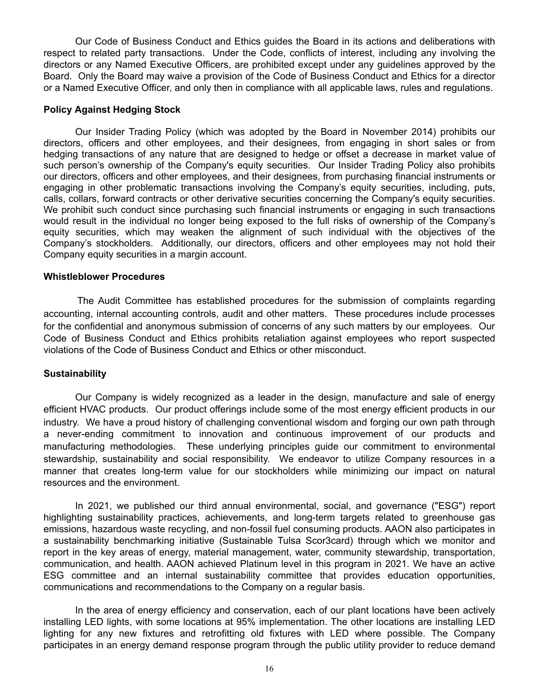Our Code of Business Conduct and Ethics guides the Board in its actions and deliberations with respect to related party transactions. Under the Code, conflicts of interest, including any involving the directors or any Named Executive Officers, are prohibited except under any guidelines approved by the Board. Only the Board may waive a provision of the Code of Business Conduct and Ethics for a director or a Named Executive Officer, and only then in compliance with all applicable laws, rules and regulations.

#### **Policy Against Hedging Stock**

Our Insider Trading Policy (which was adopted by the Board in November 2014) prohibits our directors, officers and other employees, and their designees, from engaging in short sales or from hedging transactions of any nature that are designed to hedge or offset a decrease in market value of such person's ownership of the Company's equity securities. Our Insider Trading Policy also prohibits our directors, officers and other employees, and their designees, from purchasing financial instruments or engaging in other problematic transactions involving the Company's equity securities, including, puts, calls, collars, forward contracts or other derivative securities concerning the Company's equity securities. We prohibit such conduct since purchasing such financial instruments or engaging in such transactions would result in the individual no longer being exposed to the full risks of ownership of the Company's equity securities, which may weaken the alignment of such individual with the objectives of the Company's stockholders. Additionally, our directors, officers and other employees may not hold their Company equity securities in a margin account.

#### **Whistleblower Procedures**

 The Audit Committee has established procedures for the submission of complaints regarding accounting, internal accounting controls, audit and other matters. These procedures include processes for the confidential and anonymous submission of concerns of any such matters by our employees. Our Code of Business Conduct and Ethics prohibits retaliation against employees who report suspected violations of the Code of Business Conduct and Ethics or other misconduct.

### **Sustainability**

Our Company is widely recognized as a leader in the design, manufacture and sale of energy efficient HVAC products. Our product offerings include some of the most energy efficient products in our industry. We have a proud history of challenging conventional wisdom and forging our own path through a never-ending commitment to innovation and continuous improvement of our products and manufacturing methodologies. These underlying principles guide our commitment to environmental stewardship, sustainability and social responsibility. We endeavor to utilize Company resources in a manner that creates long-term value for our stockholders while minimizing our impact on natural resources and the environment.

In 2021, we published our third annual environmental, social, and governance ("ESG") report highlighting sustainability practices, achievements, and long-term targets related to greenhouse gas emissions, hazardous waste recycling, and non-fossil fuel consuming products. AAON also participates in a sustainability benchmarking initiative (Sustainable Tulsa Scor3card) through which we monitor and report in the key areas of energy, material management, water, community stewardship, transportation, communication, and health. AAON achieved Platinum level in this program in 2021. We have an active ESG committee and an internal sustainability committee that provides education opportunities, communications and recommendations to the Company on a regular basis.

In the area of energy efficiency and conservation, each of our plant locations have been actively installing LED lights, with some locations at 95% implementation. The other locations are installing LED lighting for any new fixtures and retrofitting old fixtures with LED where possible. The Company participates in an energy demand response program through the public utility provider to reduce demand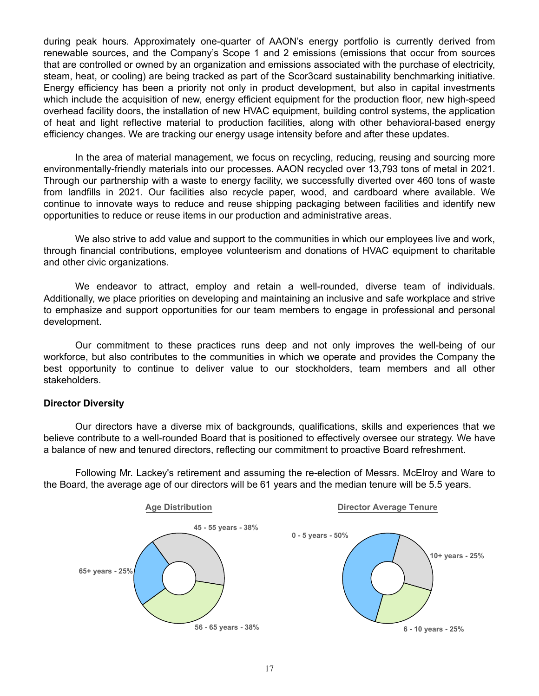during peak hours. Approximately one-quarter of AAON's energy portfolio is currently derived from renewable sources, and the Company's Scope 1 and 2 emissions (emissions that occur from sources that are controlled or owned by an organization and emissions associated with the purchase of electricity, steam, heat, or cooling) are being tracked as part of the Scor3card sustainability benchmarking initiative. Energy efficiency has been a priority not only in product development, but also in capital investments which include the acquisition of new, energy efficient equipment for the production floor, new high-speed overhead facility doors, the installation of new HVAC equipment, building control systems, the application of heat and light reflective material to production facilities, along with other behavioral-based energy efficiency changes. We are tracking our energy usage intensity before and after these updates.

In the area of material management, we focus on recycling, reducing, reusing and sourcing more environmentally-friendly materials into our processes. AAON recycled over 13,793 tons of metal in 2021. Through our partnership with a waste to energy facility, we successfully diverted over 460 tons of waste from landfills in 2021. Our facilities also recycle paper, wood, and cardboard where available. We continue to innovate ways to reduce and reuse shipping packaging between facilities and identify new opportunities to reduce or reuse items in our production and administrative areas.

We also strive to add value and support to the communities in which our employees live and work, through financial contributions, employee volunteerism and donations of HVAC equipment to charitable and other civic organizations.

We endeavor to attract, employ and retain a well-rounded, diverse team of individuals. Additionally, we place priorities on developing and maintaining an inclusive and safe workplace and strive to emphasize and support opportunities for our team members to engage in professional and personal development.

Our commitment to these practices runs deep and not only improves the well-being of our workforce, but also contributes to the communities in which we operate and provides the Company the best opportunity to continue to deliver value to our stockholders, team members and all other stakeholders.

### **Director Diversity**

Our directors have a diverse mix of backgrounds, qualifications, skills and experiences that we believe contribute to a well-rounded Board that is positioned to effectively oversee our strategy. We have a balance of new and tenured directors, reflecting our commitment to proactive Board refreshment.

Following Mr. Lackey's retirement and assuming the re-election of Messrs. McElroy and Ware to the Board, the average age of our directors will be 61 years and the median tenure will be 5.5 years.

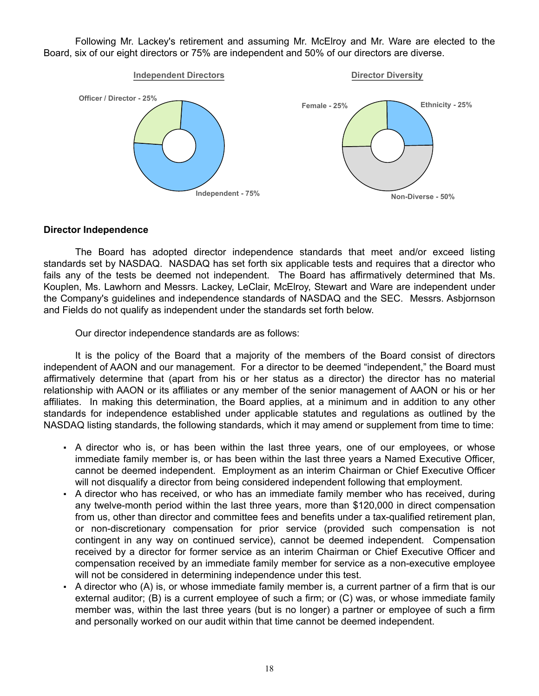Following Mr. Lackey's retirement and assuming Mr. McElroy and Mr. Ware are elected to the Board, six of our eight directors or 75% are independent and 50% of our directors are diverse.



### **Director Independence**

The Board has adopted director independence standards that meet and/or exceed listing standards set by NASDAQ. NASDAQ has set forth six applicable tests and requires that a director who fails any of the tests be deemed not independent. The Board has affirmatively determined that Ms. Kouplen, Ms. Lawhorn and Messrs. Lackey, LeClair, McElroy, Stewart and Ware are independent under the Company's guidelines and independence standards of NASDAQ and the SEC. Messrs. Asbjornson and Fields do not qualify as independent under the standards set forth below.

Our director independence standards are as follows:

It is the policy of the Board that a majority of the members of the Board consist of directors independent of AAON and our management. For a director to be deemed "independent," the Board must affirmatively determine that (apart from his or her status as a director) the director has no material relationship with AAON or its affiliates or any member of the senior management of AAON or his or her affiliates. In making this determination, the Board applies, at a minimum and in addition to any other standards for independence established under applicable statutes and regulations as outlined by the NASDAQ listing standards, the following standards, which it may amend or supplement from time to time:

- A director who is, or has been within the last three years, one of our employees, or whose immediate family member is, or has been within the last three years a Named Executive Officer, cannot be deemed independent. Employment as an interim Chairman or Chief Executive Officer will not disqualify a director from being considered independent following that employment.
- A director who has received, or who has an immediate family member who has received, during any twelve-month period within the last three years, more than \$120,000 in direct compensation from us, other than director and committee fees and benefits under a tax-qualified retirement plan, or non-discretionary compensation for prior service (provided such compensation is not contingent in any way on continued service), cannot be deemed independent. Compensation received by a director for former service as an interim Chairman or Chief Executive Officer and compensation received by an immediate family member for service as a non-executive employee will not be considered in determining independence under this test.
- A director who (A) is, or whose immediate family member is, a current partner of a firm that is our external auditor; (B) is a current employee of such a firm; or (C) was, or whose immediate family member was, within the last three years (but is no longer) a partner or employee of such a firm and personally worked on our audit within that time cannot be deemed independent.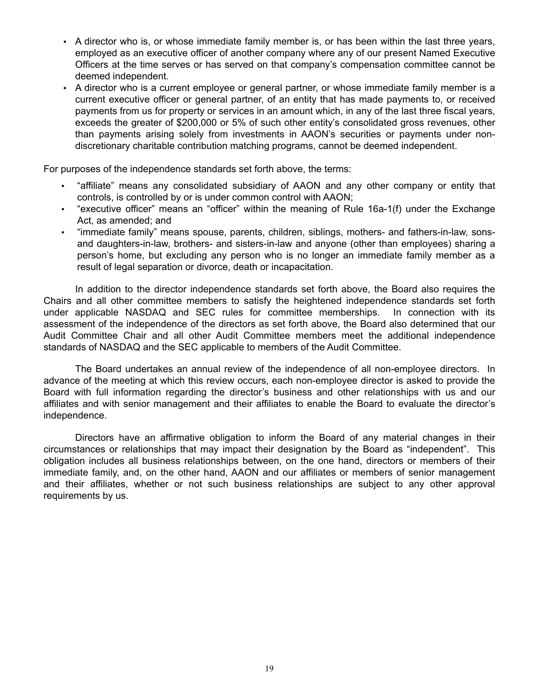- A director who is, or whose immediate family member is, or has been within the last three years, employed as an executive officer of another company where any of our present Named Executive Officers at the time serves or has served on that company's compensation committee cannot be deemed independent.
- A director who is a current employee or general partner, or whose immediate family member is a current executive officer or general partner, of an entity that has made payments to, or received payments from us for property or services in an amount which, in any of the last three fiscal years, exceeds the greater of \$200,000 or 5% of such other entity's consolidated gross revenues, other than payments arising solely from investments in AAON's securities or payments under nondiscretionary charitable contribution matching programs, cannot be deemed independent.

For purposes of the independence standards set forth above, the terms:

- "affiliate" means any consolidated subsidiary of AAON and any other company or entity that controls, is controlled by or is under common control with AAON;
- "executive officer" means an "officer" within the meaning of Rule 16a-1(f) under the Exchange Act, as amended; and
- "immediate family" means spouse, parents, children, siblings, mothers- and fathers-in-law, sonsand daughters-in-law, brothers- and sisters-in-law and anyone (other than employees) sharing a person's home, but excluding any person who is no longer an immediate family member as a result of legal separation or divorce, death or incapacitation.

In addition to the director independence standards set forth above, the Board also requires the Chairs and all other committee members to satisfy the heightened independence standards set forth under applicable NASDAQ and SEC rules for committee memberships. In connection with its assessment of the independence of the directors as set forth above, the Board also determined that our Audit Committee Chair and all other Audit Committee members meet the additional independence standards of NASDAQ and the SEC applicable to members of the Audit Committee.

The Board undertakes an annual review of the independence of all non-employee directors. In advance of the meeting at which this review occurs, each non-employee director is asked to provide the Board with full information regarding the director's business and other relationships with us and our affiliates and with senior management and their affiliates to enable the Board to evaluate the director's independence.

Directors have an affirmative obligation to inform the Board of any material changes in their circumstances or relationships that may impact their designation by the Board as "independent". This obligation includes all business relationships between, on the one hand, directors or members of their immediate family, and, on the other hand, AAON and our affiliates or members of senior management and their affiliates, whether or not such business relationships are subject to any other approval requirements by us.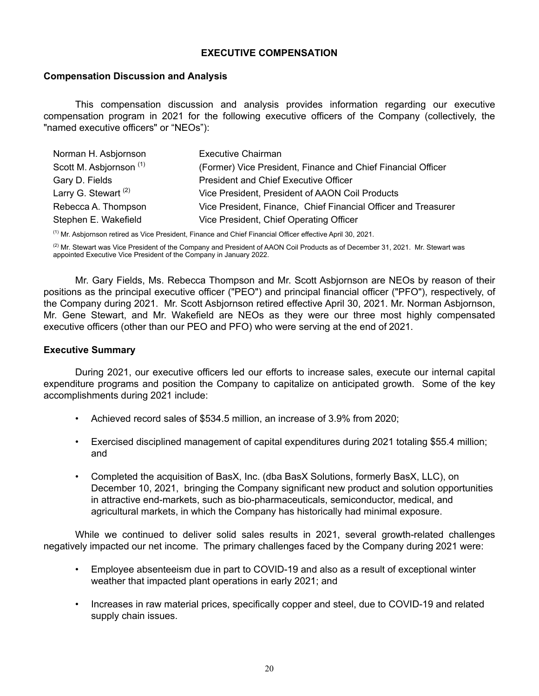# **EXECUTIVE COMPENSATION**

### **Compensation Discussion and Analysis**

This compensation discussion and analysis provides information regarding our executive compensation program in 2021 for the following executive officers of the Company (collectively, the "named executive officers" or "NEOs"):

| Norman H. Asbjornson               | <b>Executive Chairman</b>                                      |
|------------------------------------|----------------------------------------------------------------|
| Scott M. Asbjornson <sup>(1)</sup> | (Former) Vice President, Finance and Chief Financial Officer   |
| Gary D. Fields                     | <b>President and Chief Executive Officer</b>                   |
| Larry G. Stewart <sup>(2)</sup>    | Vice President, President of AAON Coil Products                |
| Rebecca A. Thompson                | Vice President, Finance, Chief Financial Officer and Treasurer |
| Stephen E. Wakefield               | Vice President, Chief Operating Officer                        |

 $<sup>(1)</sup>$  Mr. Asbjornson retired as Vice President, Finance and Chief Financial Officer effective April 30, 2021.</sup>

 $(2)$  Mr. Stewart was Vice President of the Company and President of AAON Coil Products as of December 31, 2021. Mr. Stewart was appointed Executive Vice President of the Company in January 2022.

Mr. Gary Fields, Ms. Rebecca Thompson and Mr. Scott Asbjornson are NEOs by reason of their positions as the principal executive officer ("PEO") and principal financial officer ("PFO"), respectively, of the Company during 2021. Mr. Scott Asbjornson retired effective April 30, 2021. Mr. Norman Asbjornson, Mr. Gene Stewart, and Mr. Wakefield are NEOs as they were our three most highly compensated executive officers (other than our PEO and PFO) who were serving at the end of 2021.

### **Executive Summary**

During 2021, our executive officers led our efforts to increase sales, execute our internal capital expenditure programs and position the Company to capitalize on anticipated growth. Some of the key accomplishments during 2021 include:

- Achieved record sales of \$534.5 million, an increase of 3.9% from 2020;
- Exercised disciplined management of capital expenditures during 2021 totaling \$55.4 million; and
- Completed the acquisition of BasX, Inc. (dba BasX Solutions, formerly BasX, LLC), on December 10, 2021, bringing the Company significant new product and solution opportunities in attractive end-markets, such as bio-pharmaceuticals, semiconductor, medical, and agricultural markets, in which the Company has historically had minimal exposure.

While we continued to deliver solid sales results in 2021, several growth-related challenges negatively impacted our net income. The primary challenges faced by the Company during 2021 were:

- Employee absenteeism due in part to COVID-19 and also as a result of exceptional winter weather that impacted plant operations in early 2021; and
- Increases in raw material prices, specifically copper and steel, due to COVID-19 and related supply chain issues.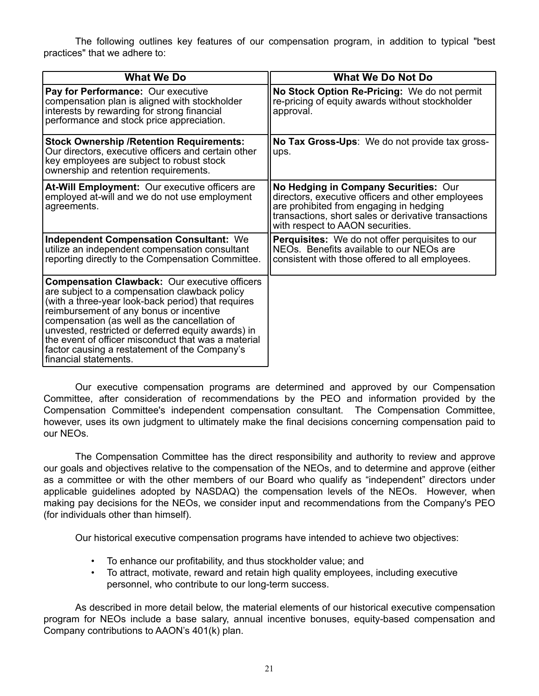The following outlines key features of our compensation program, in addition to typical "best practices" that we adhere to:

| <b>What We Do</b>                                                                                                                                                                                                                                                                                                                                                                                                                             | <b>What We Do Not Do</b>                                                                                                                                                                                                          |
|-----------------------------------------------------------------------------------------------------------------------------------------------------------------------------------------------------------------------------------------------------------------------------------------------------------------------------------------------------------------------------------------------------------------------------------------------|-----------------------------------------------------------------------------------------------------------------------------------------------------------------------------------------------------------------------------------|
| Pay for Performance: Our executive<br>compensation plan is aligned with stockholder<br>interests by rewarding for strong financial<br>performance and stock price appreciation.                                                                                                                                                                                                                                                               | No Stock Option Re-Pricing: We do not permit<br>re-pricing of equity awards without stockholder<br>approval.                                                                                                                      |
| <b>Stock Ownership / Retention Requirements:</b><br>Our directors, executive officers and certain other<br>key employees are subject to robust stock<br>ownership and retention requirements.                                                                                                                                                                                                                                                 | No Tax Gross-Ups: We do not provide tax gross-<br>ups.                                                                                                                                                                            |
| At-Will Employment: Our executive officers are<br>employed at-will and we do not use employment<br>agreements.                                                                                                                                                                                                                                                                                                                                | No Hedging in Company Securities: Our<br>directors, executive officers and other employees<br>are prohibited from engaging in hedging<br>transactions, short sales or derivative transactions<br>with respect to AAON securities. |
| <b>Independent Compensation Consultant: We</b><br>utilize an independent compensation consultant<br>reporting directly to the Compensation Committee.                                                                                                                                                                                                                                                                                         | <b>Perquisites:</b> We do not offer perquisites to our<br>NEOs. Benefits available to our NEOs are<br>consistent with those offered to all employees.                                                                             |
| <b>Compensation Clawback: Our executive officers</b><br>are subject to a compensation clawback policy<br>(with a three-year look-back period) that requires<br>reimbursement of any bonus or incentive<br>compensation (as well as the cancellation of<br>unvested, restricted or deferred equity awards) in<br>the event of officer misconduct that was a material<br>factor causing a restatement of the Company's<br>financial statements. |                                                                                                                                                                                                                                   |

Our executive compensation programs are determined and approved by our Compensation Committee, after consideration of recommendations by the PEO and information provided by the Compensation Committee's independent compensation consultant. The Compensation Committee, however, uses its own judgment to ultimately make the final decisions concerning compensation paid to our NEOs.

The Compensation Committee has the direct responsibility and authority to review and approve our goals and objectives relative to the compensation of the NEOs, and to determine and approve (either as a committee or with the other members of our Board who qualify as "independent" directors under applicable guidelines adopted by NASDAQ) the compensation levels of the NEOs. However, when making pay decisions for the NEOs, we consider input and recommendations from the Company's PEO (for individuals other than himself).

Our historical executive compensation programs have intended to achieve two objectives:

- To enhance our profitability, and thus stockholder value; and
- To attract, motivate, reward and retain high quality employees, including executive personnel, who contribute to our long-term success.

As described in more detail below, the material elements of our historical executive compensation program for NEOs include a base salary, annual incentive bonuses, equity-based compensation and Company contributions to AAON's 401(k) plan.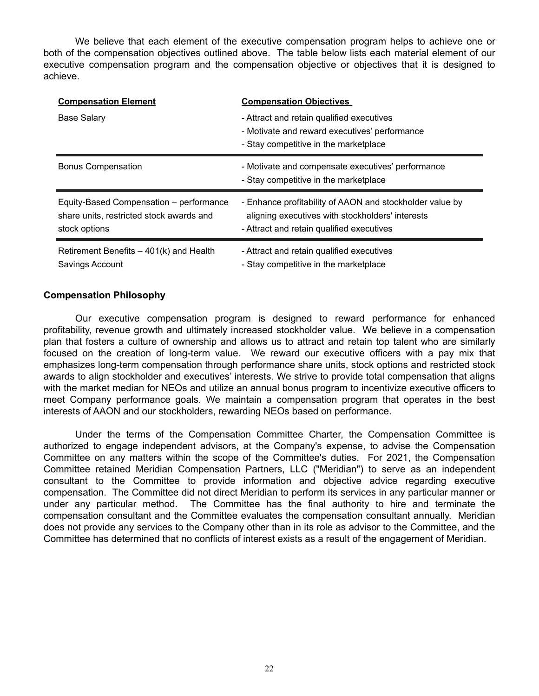We believe that each element of the executive compensation program helps to achieve one or both of the compensation objectives outlined above. The table below lists each material element of our executive compensation program and the compensation objective or objectives that it is designed to achieve.

| <b>Compensation Element</b>                                                                          | <b>Compensation Objectives</b>                                                                                                                            |
|------------------------------------------------------------------------------------------------------|-----------------------------------------------------------------------------------------------------------------------------------------------------------|
| Base Salary                                                                                          | - Attract and retain qualified executives<br>- Motivate and reward executives' performance<br>- Stay competitive in the marketplace                       |
| <b>Bonus Compensation</b>                                                                            | - Motivate and compensate executives' performance                                                                                                         |
|                                                                                                      | - Stay competitive in the marketplace                                                                                                                     |
| Equity-Based Compensation – performance<br>share units, restricted stock awards and<br>stock options | - Enhance profitability of AAON and stockholder value by<br>aligning executives with stockholders' interests<br>- Attract and retain qualified executives |
| Retirement Benefits $-401(k)$ and Health<br>Savings Account                                          | - Attract and retain qualified executives<br>- Stay competitive in the marketplace                                                                        |

# **Compensation Philosophy**

Our executive compensation program is designed to reward performance for enhanced profitability, revenue growth and ultimately increased stockholder value. We believe in a compensation plan that fosters a culture of ownership and allows us to attract and retain top talent who are similarly focused on the creation of long-term value. We reward our executive officers with a pay mix that emphasizes long-term compensation through performance share units, stock options and restricted stock awards to align stockholder and executives' interests. We strive to provide total compensation that aligns with the market median for NEOs and utilize an annual bonus program to incentivize executive officers to meet Company performance goals. We maintain a compensation program that operates in the best interests of AAON and our stockholders, rewarding NEOs based on performance.

Under the terms of the Compensation Committee Charter, the Compensation Committee is authorized to engage independent advisors, at the Company's expense, to advise the Compensation Committee on any matters within the scope of the Committee's duties. For 2021, the Compensation Committee retained Meridian Compensation Partners, LLC ("Meridian") to serve as an independent consultant to the Committee to provide information and objective advice regarding executive compensation. The Committee did not direct Meridian to perform its services in any particular manner or under any particular method. The Committee has the final authority to hire and terminate the compensation consultant and the Committee evaluates the compensation consultant annually. Meridian does not provide any services to the Company other than in its role as advisor to the Committee, and the Committee has determined that no conflicts of interest exists as a result of the engagement of Meridian.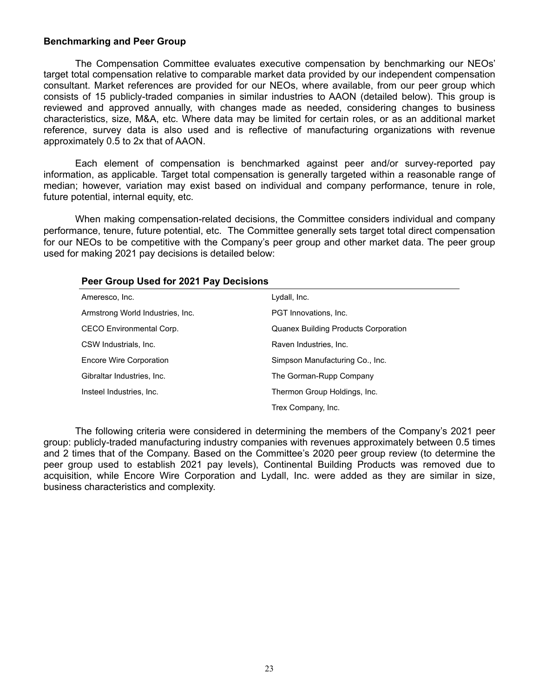### **Benchmarking and Peer Group**

The Compensation Committee evaluates executive compensation by benchmarking our NEOs' target total compensation relative to comparable market data provided by our independent compensation consultant. Market references are provided for our NEOs, where available, from our peer group which consists of 15 publicly-traded companies in similar industries to AAON (detailed below). This group is reviewed and approved annually, with changes made as needed, considering changes to business characteristics, size, M&A, etc. Where data may be limited for certain roles, or as an additional market reference, survey data is also used and is reflective of manufacturing organizations with revenue approximately 0.5 to 2x that of AAON.

Each element of compensation is benchmarked against peer and/or survey-reported pay information, as applicable. Target total compensation is generally targeted within a reasonable range of median; however, variation may exist based on individual and company performance, tenure in role, future potential, internal equity, etc.

When making compensation-related decisions, the Committee considers individual and company performance, tenure, future potential, etc. The Committee generally sets target total direct compensation for our NEOs to be competitive with the Company's peer group and other market data. The peer group used for making 2021 pay decisions is detailed below:

| <b>T COI OTOUR USCUTOF EVET FUY DUCISIONS</b> |                                             |  |  |  |  |  |
|-----------------------------------------------|---------------------------------------------|--|--|--|--|--|
| Ameresco, Inc.                                | Lydall, Inc.                                |  |  |  |  |  |
| Armstrong World Industries, Inc.              | PGT Innovations, Inc.                       |  |  |  |  |  |
| CECO Environmental Corp.                      | <b>Quanex Building Products Corporation</b> |  |  |  |  |  |
| CSW Industrials, Inc.                         | Raven Industries, Inc.                      |  |  |  |  |  |
| Encore Wire Corporation                       | Simpson Manufacturing Co., Inc.             |  |  |  |  |  |
| Gibraltar Industries, Inc.                    | The Gorman-Rupp Company                     |  |  |  |  |  |
| Insteel Industries, Inc.                      | Thermon Group Holdings, Inc.                |  |  |  |  |  |
|                                               | Trex Company, Inc.                          |  |  |  |  |  |

# **Peer Group Used for 2021 Pay Decisions**

The following criteria were considered in determining the members of the Company's 2021 peer group: publicly-traded manufacturing industry companies with revenues approximately between 0.5 times and 2 times that of the Company. Based on the Committee's 2020 peer group review (to determine the peer group used to establish 2021 pay levels), Continental Building Products was removed due to acquisition, while Encore Wire Corporation and Lydall, Inc. were added as they are similar in size, business characteristics and complexity.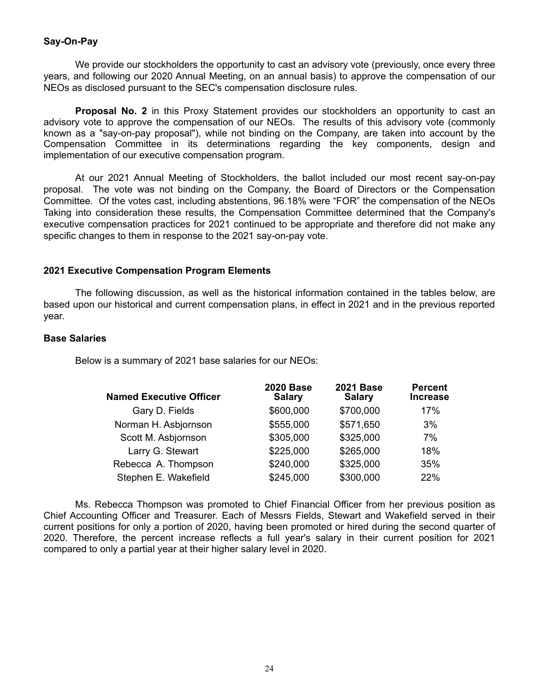# **Say-On-Pay**

We provide our stockholders the opportunity to cast an advisory vote (previously, once every three years, and following our 2020 Annual Meeting, on an annual basis) to approve the compensation of our NEOs as disclosed pursuant to the SEC's compensation disclosure rules.

**Proposal No. 2** in this Proxy Statement provides our stockholders an opportunity to cast an advisory vote to approve the compensation of our NEOs. The results of this advisory vote (commonly known as a "say-on-pay proposal"), while not binding on the Company, are taken into account by the Compensation Committee in its determinations regarding the key components, design and implementation of our executive compensation program.

At our 2021 Annual Meeting of Stockholders, the ballot included our most recent say-on-pay proposal. The vote was not binding on the Company, the Board of Directors or the Compensation Committee. Of the votes cast, including abstentions, 96.18% were "FOR" the compensation of the NEOs Taking into consideration these results, the Compensation Committee determined that the Company's executive compensation practices for 2021 continued to be appropriate and therefore did not make any specific changes to them in response to the 2021 say-on-pay vote.

# **2021 Executive Compensation Program Elements**

The following discussion, as well as the historical information contained in the tables below, are based upon our historical and current compensation plans, in effect in 2021 and in the previous reported year.

#### **Base Salaries**

Below is a summary of 2021 base salaries for our NEOs:

| <b>Named Executive Officer</b> | <b>2020 Base</b><br><b>Salary</b> | <b>2021 Base</b><br><b>Salary</b> | <b>Percent</b><br><b>Increase</b> |
|--------------------------------|-----------------------------------|-----------------------------------|-----------------------------------|
| Gary D. Fields                 | \$600,000                         | \$700,000                         | 17%                               |
| Norman H. Asbjornson           | \$555,000                         | \$571,650                         | 3%                                |
| Scott M. Asbjornson            | \$305,000                         | \$325,000                         | 7%                                |
| Larry G. Stewart               | \$225,000                         | \$265,000                         | 18%                               |
| Rebecca A. Thompson            | \$240,000                         | \$325,000                         | 35%                               |
| Stephen E. Wakefield           | \$245,000                         | \$300,000                         | 22%                               |

Ms. Rebecca Thompson was promoted to Chief Financial Officer from her previous position as Chief Accounting Officer and Treasurer. Each of Messrs Fields, Stewart and Wakefield served in their current positions for only a portion of 2020, having been promoted or hired during the second quarter of 2020. Therefore, the percent increase reflects a full year's salary in their current position for 2021 compared to only a partial year at their higher salary level in 2020.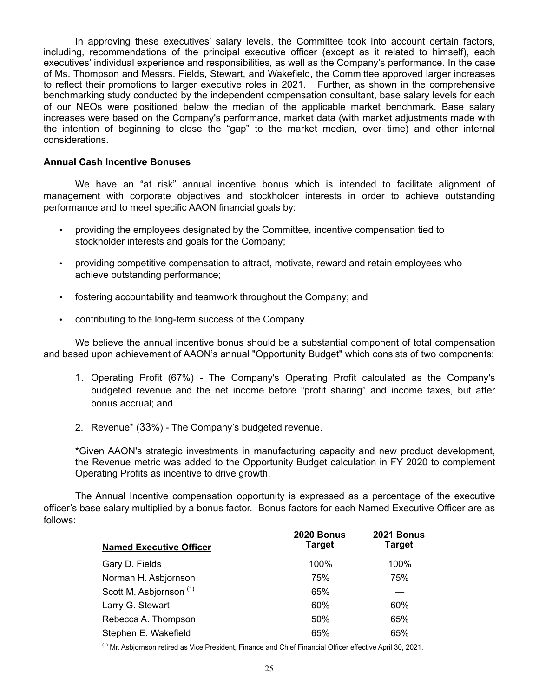In approving these executives' salary levels, the Committee took into account certain factors, including, recommendations of the principal executive officer (except as it related to himself), each executives' individual experience and responsibilities, as well as the Company's performance. In the case of Ms. Thompson and Messrs. Fields, Stewart, and Wakefield, the Committee approved larger increases to reflect their promotions to larger executive roles in 2021. Further, as shown in the comprehensive benchmarking study conducted by the independent compensation consultant, base salary levels for each of our NEOs were positioned below the median of the applicable market benchmark. Base salary increases were based on the Company's performance, market data (with market adjustments made with the intention of beginning to close the "gap" to the market median, over time) and other internal considerations.

### **Annual Cash Incentive Bonuses**

We have an "at risk" annual incentive bonus which is intended to facilitate alignment of management with corporate objectives and stockholder interests in order to achieve outstanding performance and to meet specific AAON financial goals by:

- providing the employees designated by the Committee, incentive compensation tied to stockholder interests and goals for the Company;
- providing competitive compensation to attract, motivate, reward and retain employees who achieve outstanding performance;
- fostering accountability and teamwork throughout the Company; and
- contributing to the long-term success of the Company.

We believe the annual incentive bonus should be a substantial component of total compensation and based upon achievement of AAON's annual "Opportunity Budget" which consists of two components:

- 1. Operating Profit (67%) The Company's Operating Profit calculated as the Company's budgeted revenue and the net income before "profit sharing" and income taxes, but after bonus accrual; and
- 2. Revenue\* (33%) The Company's budgeted revenue.

\*Given AAON's strategic investments in manufacturing capacity and new product development, the Revenue metric was added to the Opportunity Budget calculation in FY 2020 to complement Operating Profits as incentive to drive growth.

The Annual Incentive compensation opportunity is expressed as a percentage of the executive officer's base salary multiplied by a bonus factor. Bonus factors for each Named Executive Officer are as follows:

| <b>Named Executive Officer</b>     | <b>2020 Bonus</b><br><b>Target</b> | <b>2021 Bonus</b><br><b>Target</b> |
|------------------------------------|------------------------------------|------------------------------------|
| Gary D. Fields                     | 100%                               | 100%                               |
| Norman H. Asbjornson               | 75%                                | 75%                                |
| Scott M. Asbjornson <sup>(1)</sup> | 65%                                |                                    |
| Larry G. Stewart                   | 60%                                | 60%                                |
| Rebecca A. Thompson                | 50%                                | 65%                                |
| Stephen E. Wakefield               | 65%                                | 65%                                |

(1) Mr. Asbjornson retired as Vice President, Finance and Chief Financial Officer effective April 30, 2021.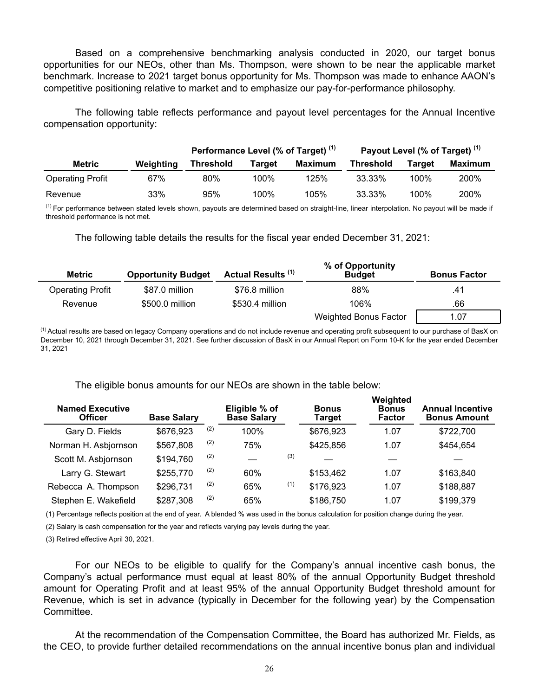Based on a comprehensive benchmarking analysis conducted in 2020, our target bonus opportunities for our NEOs, other than Ms. Thompson, were shown to be near the applicable market benchmark. Increase to 2021 target bonus opportunity for Ms. Thompson was made to enhance AAON's competitive positioning relative to market and to emphasize our pay-for-performance philosophy.

The following table reflects performance and payout level percentages for the Annual Incentive compensation opportunity:

|                         |           | Performance Level (% of Target) <sup>(1)</sup> |         |         | Payout Level (% of Target) <sup>(1)</sup> |         |         |  |
|-------------------------|-----------|------------------------------------------------|---------|---------|-------------------------------------------|---------|---------|--|
| Metric                  | Weighting | <b>Threshold</b>                               | Tarɑet  | Maximum | <b>Threshold</b>                          | Target  | Maximum |  |
| <b>Operating Profit</b> | 67%       | 80%                                            | $100\%$ | 125%    | 33.33%                                    | $100\%$ | 200%    |  |
| Revenue                 | 33%       | 95%                                            | 100%    | 105%    | 33.33%                                    | 100%    | 200%    |  |

<sup>(1)</sup> For performance between stated levels shown, payouts are determined based on straight-line, linear interpolation. No payout will be made if threshold performance is not met.

The following table details the results for the fiscal year ended December 31, 2021:

| <b>Metric</b>           | <b>Opportunity Budget</b> | Actual Results <sup>(1)</sup> | % of Opportunity<br><b>Budget</b> | <b>Bonus Factor</b> |
|-------------------------|---------------------------|-------------------------------|-----------------------------------|---------------------|
| <b>Operating Profit</b> | \$87.0 million            | \$76.8 million                | 88%                               | .41                 |
| Revenue                 | \$500.0 million           | \$530.4 million               | 106%                              | .66                 |
|                         |                           |                               | Weighted Bonus Factor             | 1.07                |

<sup>(1)</sup> Actual results are based on legacy Company operations and do not include revenue and operating profit subsequent to our purchase of BasX on December 10, 2021 through December 31, 2021. See further discussion of BasX in our Annual Report on Form 10-K for the year ended December 31, 2021

The eligible bonus amounts for our NEOs are shown in the table below:

| <b>Named Executive</b><br><b>Officer</b> | <b>Base Salary</b> |     | Eligible % of<br><b>Base Salary</b> |     | <b>Bonus</b><br><b>Target</b> | Weighted<br><b>Bonus</b><br><b>Factor</b> | <b>Annual Incentive</b><br><b>Bonus Amount</b> |
|------------------------------------------|--------------------|-----|-------------------------------------|-----|-------------------------------|-------------------------------------------|------------------------------------------------|
| Gary D. Fields                           | \$676,923          | (2) | 100%                                |     | \$676,923                     | 1.07                                      | \$722,700                                      |
| Norman H. Asbjornson                     | \$567,808          | (2) | 75%                                 |     | \$425,856                     | 1.07                                      | \$454,654                                      |
| Scott M. Asbjornson                      | \$194,760          | (2) |                                     | (3) |                               |                                           |                                                |
| Larry G. Stewart                         | \$255,770          | (2) | 60%                                 |     | \$153,462                     | 1.07                                      | \$163,840                                      |
| Rebecca A. Thompson                      | \$296,731          | (2) | 65%                                 | (1) | \$176,923                     | 1.07                                      | \$188,887                                      |
| Stephen E. Wakefield                     | \$287,308          | (2) | 65%                                 |     | \$186,750                     | 1.07                                      | \$199,379                                      |

(1) Percentage reflects position at the end of year. A blended % was used in the bonus calculation for position change during the year.

(2) Salary is cash compensation for the year and reflects varying pay levels during the year.

(3) Retired effective April 30, 2021.

For our NEOs to be eligible to qualify for the Company's annual incentive cash bonus, the Company's actual performance must equal at least 80% of the annual Opportunity Budget threshold amount for Operating Profit and at least 95% of the annual Opportunity Budget threshold amount for Revenue, which is set in advance (typically in December for the following year) by the Compensation Committee.

At the recommendation of the Compensation Committee, the Board has authorized Mr. Fields, as the CEO, to provide further detailed recommendations on the annual incentive bonus plan and individual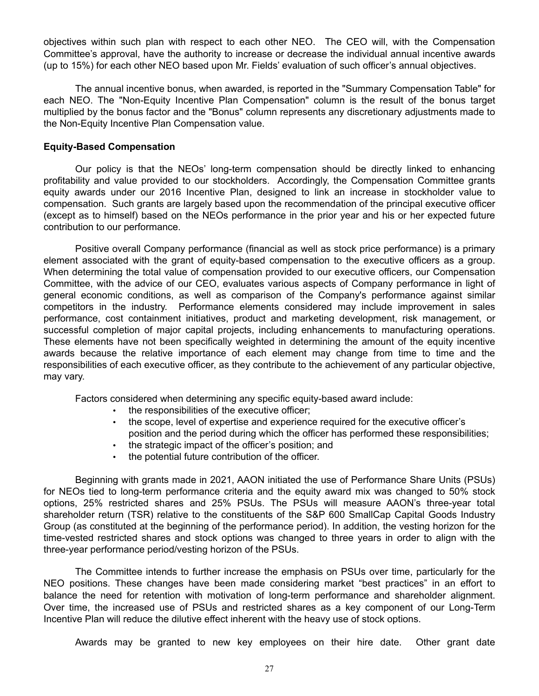objectives within such plan with respect to each other NEO. The CEO will, with the Compensation Committee's approval, have the authority to increase or decrease the individual annual incentive awards (up to 15%) for each other NEO based upon Mr. Fields' evaluation of such officer's annual objectives.

The annual incentive bonus, when awarded, is reported in the "Summary Compensation Table" for each NEO. The "Non-Equity Incentive Plan Compensation" column is the result of the bonus target multiplied by the bonus factor and the "Bonus" column represents any discretionary adjustments made to the Non-Equity Incentive Plan Compensation value.

### **Equity-Based Compensation**

Our policy is that the NEOs' long-term compensation should be directly linked to enhancing profitability and value provided to our stockholders. Accordingly, the Compensation Committee grants equity awards under our 2016 Incentive Plan, designed to link an increase in stockholder value to compensation. Such grants are largely based upon the recommendation of the principal executive officer (except as to himself) based on the NEOs performance in the prior year and his or her expected future contribution to our performance.

Positive overall Company performance (financial as well as stock price performance) is a primary element associated with the grant of equity-based compensation to the executive officers as a group. When determining the total value of compensation provided to our executive officers, our Compensation Committee, with the advice of our CEO, evaluates various aspects of Company performance in light of general economic conditions, as well as comparison of the Company's performance against similar competitors in the industry. Performance elements considered may include improvement in sales performance, cost containment initiatives, product and marketing development, risk management, or successful completion of major capital projects, including enhancements to manufacturing operations. These elements have not been specifically weighted in determining the amount of the equity incentive awards because the relative importance of each element may change from time to time and the responsibilities of each executive officer, as they contribute to the achievement of any particular objective, may vary.

Factors considered when determining any specific equity-based award include:

- the responsibilities of the executive officer;
- the scope, level of expertise and experience required for the executive officer's position and the period during which the officer has performed these responsibilities;
- the strategic impact of the officer's position; and
- the potential future contribution of the officer.

Beginning with grants made in 2021, AAON initiated the use of Performance Share Units (PSUs) for NEOs tied to long-term performance criteria and the equity award mix was changed to 50% stock options, 25% restricted shares and 25% PSUs. The PSUs will measure AAON's three-year total shareholder return (TSR) relative to the constituents of the S&P 600 SmallCap Capital Goods Industry Group (as constituted at the beginning of the performance period). In addition, the vesting horizon for the time-vested restricted shares and stock options was changed to three years in order to align with the three-year performance period/vesting horizon of the PSUs.

The Committee intends to further increase the emphasis on PSUs over time, particularly for the NEO positions. These changes have been made considering market "best practices" in an effort to balance the need for retention with motivation of long-term performance and shareholder alignment. Over time, the increased use of PSUs and restricted shares as a key component of our Long-Term Incentive Plan will reduce the dilutive effect inherent with the heavy use of stock options.

Awards may be granted to new key employees on their hire date. Other grant date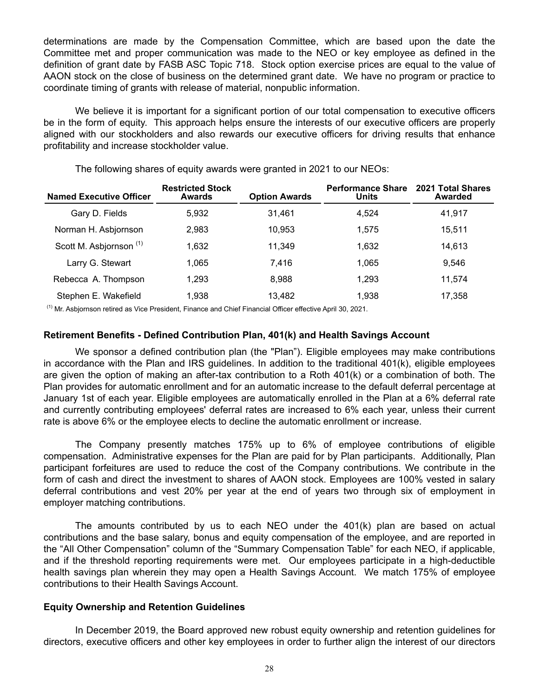determinations are made by the Compensation Committee, which are based upon the date the Committee met and proper communication was made to the NEO or key employee as defined in the definition of grant date by FASB ASC Topic 718. Stock option exercise prices are equal to the value of AAON stock on the close of business on the determined grant date. We have no program or practice to coordinate timing of grants with release of material, nonpublic information.

We believe it is important for a significant portion of our total compensation to executive officers be in the form of equity. This approach helps ensure the interests of our executive officers are properly aligned with our stockholders and also rewards our executive officers for driving results that enhance profitability and increase stockholder value.

| <b>Named Executive Officer</b>     | <b>Restricted Stock</b><br>Awards | <b>Option Awards</b> | <b>Performance Share</b><br><b>Units</b> | <b>2021 Total Shares</b><br>Awarded |
|------------------------------------|-----------------------------------|----------------------|------------------------------------------|-------------------------------------|
| Gary D. Fields                     | 5.932                             | 31.461               | 4.524                                    | 41,917                              |
| Norman H. Asbjornson               | 2.983                             | 10.953               | 1.575                                    | 15,511                              |
| Scott M. Asbjornson <sup>(1)</sup> | 1.632                             | 11.349               | 1.632                                    | 14,613                              |
| Larry G. Stewart                   | 1.065                             | 7.416                | 1.065                                    | 9.546                               |
| Rebecca A. Thompson                | 1.293                             | 8.988                | 1,293                                    | 11,574                              |
| Stephen E. Wakefield               | 1.938                             | 13.482               | 1.938                                    | 17,358                              |

The following shares of equity awards were granted in 2021 to our NEOs:

 $<sup>(1)</sup>$  Mr. Asbjornson retired as Vice President, Finance and Chief Financial Officer effective April 30, 2021.</sup>

# **Retirement Benefits - Defined Contribution Plan, 401(k) and Health Savings Account**

We sponsor a defined contribution plan (the "Plan"). Eligible employees may make contributions in accordance with the Plan and IRS guidelines. In addition to the traditional 401(k), eligible employees are given the option of making an after-tax contribution to a Roth 401(k) or a combination of both. The Plan provides for automatic enrollment and for an automatic increase to the default deferral percentage at January 1st of each year. Eligible employees are automatically enrolled in the Plan at a 6% deferral rate and currently contributing employees' deferral rates are increased to 6% each year, unless their current rate is above 6% or the employee elects to decline the automatic enrollment or increase.

The Company presently matches 175% up to 6% of employee contributions of eligible compensation. Administrative expenses for the Plan are paid for by Plan participants. Additionally, Plan participant forfeitures are used to reduce the cost of the Company contributions. We contribute in the form of cash and direct the investment to shares of AAON stock. Employees are 100% vested in salary deferral contributions and vest 20% per year at the end of years two through six of employment in employer matching contributions.

The amounts contributed by us to each NEO under the 401(k) plan are based on actual contributions and the base salary, bonus and equity compensation of the employee, and are reported in the "All Other Compensation" column of the "Summary Compensation Table" for each NEO, if applicable, and if the threshold reporting requirements were met. Our employees participate in a high-deductible health savings plan wherein they may open a Health Savings Account. We match 175% of employee contributions to their Health Savings Account.

### **Equity Ownership and Retention Guidelines**

In December 2019, the Board approved new robust equity ownership and retention guidelines for directors, executive officers and other key employees in order to further align the interest of our directors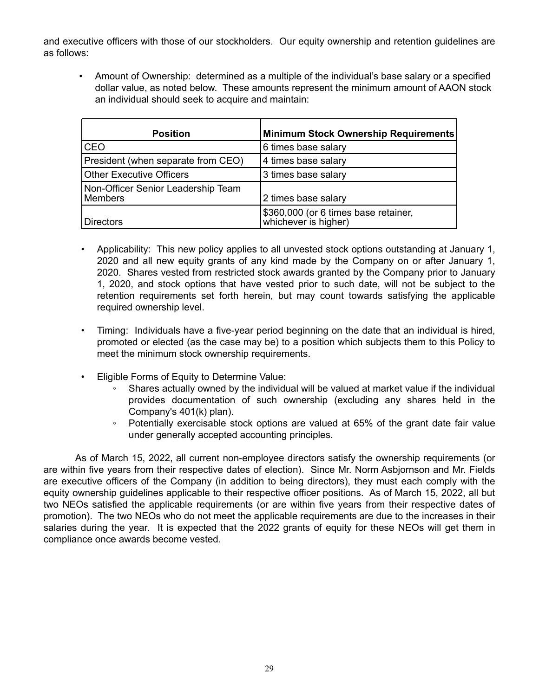and executive officers with those of our stockholders. Our equity ownership and retention guidelines are as follows:

• Amount of Ownership: determined as a multiple of the individual's base salary or a specified dollar value, as noted below. These amounts represent the minimum amount of AAON stock an individual should seek to acquire and maintain:

| <b>Position</b>                               | Minimum Stock Ownership Requirements                         |
|-----------------------------------------------|--------------------------------------------------------------|
| <b>ICEO</b>                                   | 6 times base salary                                          |
| President (when separate from CEO)            | 4 times base salary                                          |
| <b>Other Executive Officers</b>               | 3 times base salary                                          |
| Non-Officer Senior Leadership Team<br>Members | 2 times base salary                                          |
| Directors                                     | \$360,000 (or 6 times base retainer,<br>whichever is higher) |

- Applicability: This new policy applies to all unvested stock options outstanding at January 1, 2020 and all new equity grants of any kind made by the Company on or after January 1, 2020. Shares vested from restricted stock awards granted by the Company prior to January 1, 2020, and stock options that have vested prior to such date, will not be subject to the retention requirements set forth herein, but may count towards satisfying the applicable required ownership level.
- Timing: Individuals have a five-year period beginning on the date that an individual is hired, promoted or elected (as the case may be) to a position which subjects them to this Policy to meet the minimum stock ownership requirements.
- Eligible Forms of Equity to Determine Value:
	- Shares actually owned by the individual will be valued at market value if the individual provides documentation of such ownership (excluding any shares held in the Company's 401(k) plan).
	- Potentially exercisable stock options are valued at 65% of the grant date fair value under generally accepted accounting principles.

As of March 15, 2022, all current non-employee directors satisfy the ownership requirements (or are within five years from their respective dates of election). Since Mr. Norm Asbjornson and Mr. Fields are executive officers of the Company (in addition to being directors), they must each comply with the equity ownership guidelines applicable to their respective officer positions. As of March 15, 2022, all but two NEOs satisfied the applicable requirements (or are within five years from their respective dates of promotion). The two NEOs who do not meet the applicable requirements are due to the increases in their salaries during the year. It is expected that the 2022 grants of equity for these NEOs will get them in compliance once awards become vested.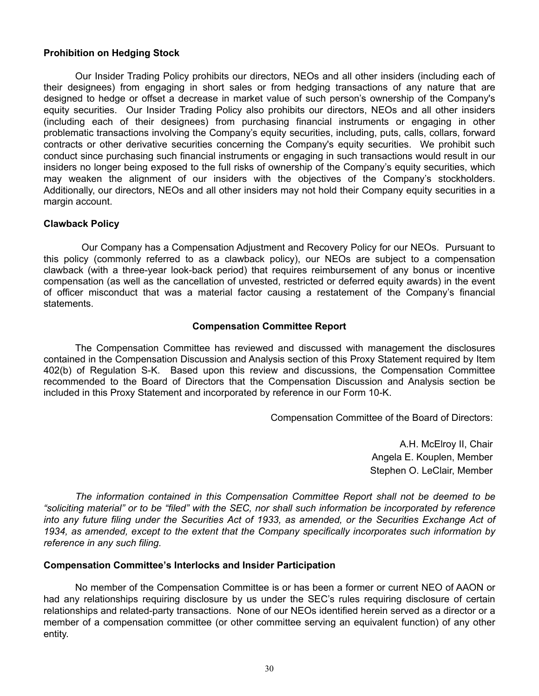# **Prohibition on Hedging Stock**

Our Insider Trading Policy prohibits our directors, NEOs and all other insiders (including each of their designees) from engaging in short sales or from hedging transactions of any nature that are designed to hedge or offset a decrease in market value of such person's ownership of the Company's equity securities. Our Insider Trading Policy also prohibits our directors, NEOs and all other insiders (including each of their designees) from purchasing financial instruments or engaging in other problematic transactions involving the Company's equity securities, including, puts, calls, collars, forward contracts or other derivative securities concerning the Company's equity securities. We prohibit such conduct since purchasing such financial instruments or engaging in such transactions would result in our insiders no longer being exposed to the full risks of ownership of the Company's equity securities, which may weaken the alignment of our insiders with the objectives of the Company's stockholders. Additionally, our directors, NEOs and all other insiders may not hold their Company equity securities in a margin account.

### **Clawback Policy**

 Our Company has a Compensation Adjustment and Recovery Policy for our NEOs. Pursuant to this policy (commonly referred to as a clawback policy), our NEOs are subject to a compensation clawback (with a three-year look-back period) that requires reimbursement of any bonus or incentive compensation (as well as the cancellation of unvested, restricted or deferred equity awards) in the event of officer misconduct that was a material factor causing a restatement of the Company's financial statements.

# **Compensation Committee Report**

The Compensation Committee has reviewed and discussed with management the disclosures contained in the Compensation Discussion and Analysis section of this Proxy Statement required by Item 402(b) of Regulation S-K. Based upon this review and discussions, the Compensation Committee recommended to the Board of Directors that the Compensation Discussion and Analysis section be included in this Proxy Statement and incorporated by reference in our Form 10-K.

Compensation Committee of the Board of Directors:

A.H. McElroy II, Chair Angela E. Kouplen, Member Stephen O. LeClair, Member

*The information contained in this Compensation Committee Report shall not be deemed to be "soliciting material" or to be "filed" with the SEC, nor shall such information be incorporated by reference*  into any future filing under the Securities Act of 1933, as amended, or the Securities Exchange Act of *1934, as amended, except to the extent that the Company specifically incorporates such information by reference in any such filing.*

### **Compensation Committee's Interlocks and Insider Participation**

No member of the Compensation Committee is or has been a former or current NEO of AAON or had any relationships requiring disclosure by us under the SEC's rules requiring disclosure of certain relationships and related-party transactions. None of our NEOs identified herein served as a director or a member of a compensation committee (or other committee serving an equivalent function) of any other entity.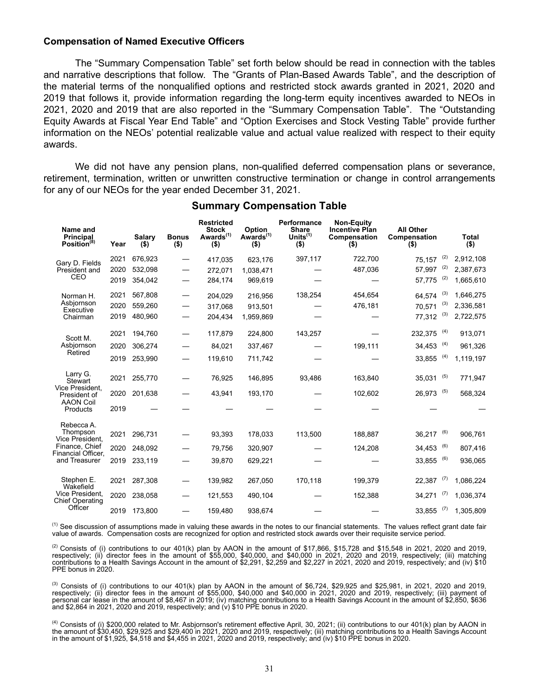#### **Compensation of Named Executive Officers**

The "Summary Compensation Table" set forth below should be read in connection with the tables and narrative descriptions that follow. The "Grants of Plan-Based Awards Table", and the description of the material terms of the nonqualified options and restricted stock awards granted in 2021, 2020 and 2019 that follows it, provide information regarding the long-term equity incentives awarded to NEOs in 2021, 2020 and 2019 that are also reported in the "Summary Compensation Table". The "Outstanding Equity Awards at Fiscal Year End Table" and "Option Exercises and Stock Vesting Table" provide further information on the NEOs' potential realizable value and actual value realized with respect to their equity awards.

We did not have any pension plans, non-qualified deferred compensation plans or severance, retirement, termination, written or unwritten constructive termination or change in control arrangements for any of our NEOs for the year ended December 31, 2021.

| Name and<br><b>Principal</b><br>Position <sup>(8)</sup> | Year | Salary<br>$($ \$) | <b>Bonus</b><br>$($ \$) | <b>Restricted</b><br><b>Stock</b><br>Awards <sup>(1)</sup><br>$($ \$) | Option<br>Awards <sup>(1)</sup><br>$($ \$) | Performance<br><b>Share</b><br>Units $(1)$<br>(\$) | <b>Non-Equity</b><br><b>Incentive Plan</b><br>Compensation<br>$($ \$) | <b>All Other</b><br>Compensation<br>$($ \$) |     | <b>Total</b><br>$($ \$) |
|---------------------------------------------------------|------|-------------------|-------------------------|-----------------------------------------------------------------------|--------------------------------------------|----------------------------------------------------|-----------------------------------------------------------------------|---------------------------------------------|-----|-------------------------|
| Gary D. Fields                                          | 2021 | 676,923           | —                       | 417,035                                                               | 623,176                                    | 397,117                                            | 722,700                                                               | 75,157                                      | (2) | 2,912,108               |
| President and                                           | 2020 | 532,098           |                         | 272,071                                                               | 1,038,471                                  |                                                    | 487,036                                                               | 57,997                                      | (2) | 2,387,673               |
| CEO                                                     | 2019 | 354,042           |                         | 284,174                                                               | 969,619                                    |                                                    |                                                                       | 57,775                                      | (2) | 1,665,610               |
| Norman H.                                               | 2021 | 567.808           |                         | 204,029                                                               | 216,956                                    | 138,254                                            | 454,654                                                               | 64,574                                      | (3) | 1,646,275               |
| Asbjornson<br>Executive                                 | 2020 | 559,260           |                         | 317,068                                                               | 913,501                                    |                                                    | 476,181                                                               | 70,571                                      | (3) | 2,336,581               |
| Chairman                                                | 2019 | 480,960           |                         | 204,434                                                               | 1,959,869                                  |                                                    |                                                                       | 77,312                                      | (3) | 2,722,575               |
|                                                         | 2021 | 194,760           |                         | 117,879                                                               | 224,800                                    | 143,257                                            |                                                                       | 232,375                                     | (4) | 913,071                 |
| Scott M.<br>Asbiornson                                  | 2020 | 306,274           |                         | 84,021                                                                | 337,467                                    |                                                    | 199,111                                                               | 34,453                                      | (4) | 961,326                 |
| Retired                                                 | 2019 | 253,990           |                         | 119,610                                                               | 711,742                                    |                                                    |                                                                       | 33,855                                      | (4) | 1,119,197               |
| Larry G.<br>Stewart                                     | 2021 | 255,770           |                         | 76,925                                                                | 146,895                                    | 93,486                                             | 163,840                                                               | 35,031                                      | (5) | 771,947                 |
| Vice President.<br>President of                         | 2020 | 201,638           |                         | 43,941                                                                | 193,170                                    |                                                    | 102,602                                                               | 26,973                                      | (5) | 568,324                 |
| <b>AAON Coil</b><br>Products                            | 2019 |                   |                         |                                                                       |                                            |                                                    |                                                                       |                                             |     |                         |
| Rebecca A.<br>Thompson<br>Vice President.               | 2021 | 296,731           |                         | 93,393                                                                | 178,033                                    | 113,500                                            | 188,887                                                               | 36,217                                      | (6) | 906,761                 |
| Finance, Chief                                          | 2020 | 248,092           |                         | 79,756                                                                | 320,907                                    |                                                    | 124,208                                                               | 34,453                                      | (6) | 807,416                 |
| Financial Officer,<br>and Treasurer                     | 2019 | 233,119           |                         | 39,870                                                                | 629,221                                    |                                                    |                                                                       | 33,855                                      | (6) | 936,065                 |
| Stephen E.<br>Wakefield                                 | 2021 | 287,308           |                         | 139,982                                                               | 267,050                                    | 170,118                                            | 199,379                                                               | 22,387                                      | (7) | 1,086,224               |
| Vice President.<br><b>Chief Operating</b>               | 2020 | 238,058           |                         | 121,553                                                               | 490,104                                    |                                                    | 152,388                                                               | 34,271                                      | (7) | 1,036,374               |
| Officer                                                 | 2019 | 173,800           |                         | 159,480                                                               | 938,674                                    |                                                    |                                                                       | 33,855                                      | (7) | 1,305,809               |

### **Summary Compensation Table**

<sup>(1)</sup> See discussion of assumptions made in valuing these awards in the notes to our financial statements. The values reflect grant date fair value of awards. Compensation costs are recognized for option and restricted stock awards over their requisite service period.

<sup>(2)</sup> Consists of (i) contributions to our 401(k) plan by AAON in the amount of \$17,866, \$15,728 and \$15,548 in 2021, 2020 and 2019, respectively; (ii) director fees in the amount of \$55,000, \$40,000, and \$40,000 in 2021, 2020 and 2019, respectively; (iii) matching contributions to a Health Savings Account in the amount of \$2,291, \$2,259 and \$2,227 in 2021, 2020 and 2019, respectively; and (iv) \$10 PPE bonus in 2020.

 $^{(3)}$  Consists of (i) contributions to our 401(k) plan by AAON in the amount of \$6,724, \$29,925 and \$25,981, in 2021, 2020 and 2019, respectively; (ii) director fees in the amount of \$55,000, \$40,000 and \$40,000 in 2021, 2020 and 2019, respectively; (iii) payment of personal car lease in the amount of \$8,467 in 2019; (iv) matching contributions to a Health Savings Account in the amount of \$2,850, \$636 and \$2,864 in 2021, 2020 and 2019, respectively; and (v) \$10 PPE bonus in 2020.

<sup>(4)</sup> Consists of (i) \$200,000 related to Mr. Asbjornson's retirement effective April, 30, 2021; (ii) contributions to our 401(k) plan by AAON in the amount of \$30,450, \$29,925 and \$29,400 in 2021, 2020 and 2019, respectively; (iii) matching contributions to a Health Savings Account in the amount of \$1,925, \$4,518 and \$4,455 in 2021, 2020 and 2019, respectively; and (iv) \$10 PPE bonus in 2020.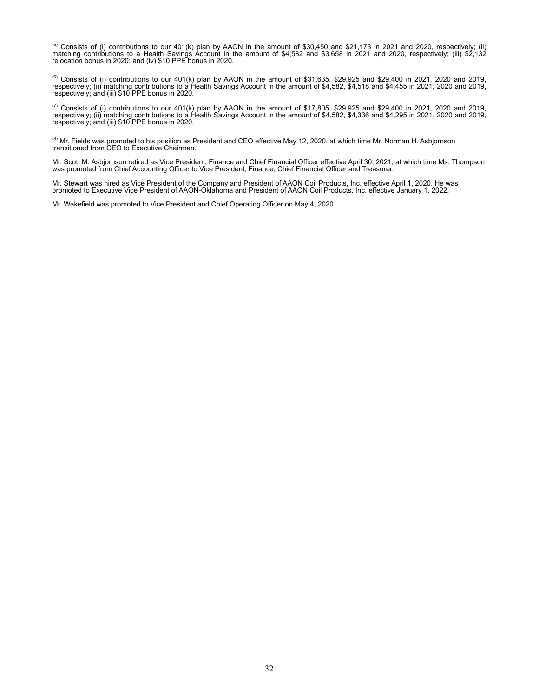<sup>(5)</sup> Consists of (i) contributions to our 401(k) plan by AAON in the amount of \$30,450 and \$21,173 in 2021 and 2020, respectively; (ii) matching contributions to a Health Savings Account in the amount of \$4,582 and \$3,658 in 2021 and 2020, respectively; (iii) \$2,132 relocation bonus in 2020; and (iv) \$10 PPE bonus in 2020.

<sup>(6)</sup> Consists of (i) contributions to our 401(k) plan by AAON in the amount of \$31,635, \$29,925 and \$29,400 in 2021, 2020 and 2019, respectively; (ii) matching contributions to a Health Savings Account in the amount of \$4,582, \$4,518 and \$4,455 in 2021, 2020 and 2019, respectively; and (iii) \$10 PPE bonus in 2020.

( $^{(7)}$  Consists of (i) contributions to our 401(k) plan by AAON in the amount of \$17,805, \$29,925 and \$29,400 in 2021, 2020 and 2019, respectively; (ii) matching contributions to a Health Savings Account in the amount of \$4,582, \$4,336 and \$4,295 in 2021, 2020 and 2019, respectively; and (iii) \$10 PPE bonus in 2020.

<sup>(8)</sup> Mr. Fields was promoted to his position as President and CEO effective May 12, 2020, at which time Mr. Norman H. Asbjornson transitioned from CEO to Executive Chairman.

Mr. Scott M. Asbjornson retired as Vice President, Finance and Chief Financial Officer effective April 30, 2021, at which time Ms. Thompson was promoted from Chief Accounting Officer to Vice President, Finance, Chief Financial Officer and Treasurer.

Mr. Stewart was hired as Vice President of the Company and President of AAON Coil Products, Inc. effective April 1, 2020. He was promoted to Executive Vice President of AAON-Oklahoma and President of AAON Coil Products, Inc. effective January 1, 2022.

Mr. Wakefield was promoted to Vice President and Chief Operating Officer on May 4, 2020.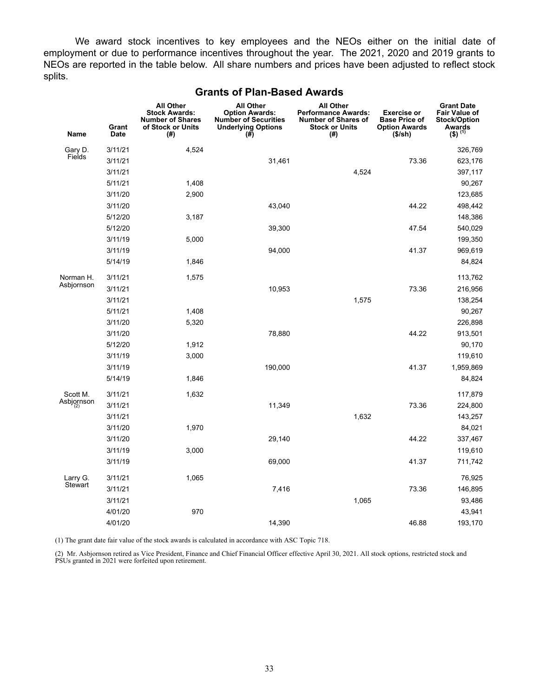We award stock incentives to key employees and the NEOs either on the initial date of employment or due to performance incentives throughout the year. The 2021, 2020 and 2019 grants to NEOs are reported in the table below. All share numbers and prices have been adjusted to reflect stock splits.

| <b>Name</b>                | Grant<br><b>Date</b> | <b>All Other</b><br><b>Stock Awards:</b><br><b>Number of Shares</b><br>of Stock or Units<br>(#) | <b>All Other</b><br><b>Option Awards:</b><br><b>Number of Securities</b><br><b>Underlying Options</b><br>$(\#)$ | <b>All Other</b><br><b>Performance Awards:</b><br><b>Number of Shares of</b><br><b>Stock or Units</b><br>(#) | <b>Exercise or</b><br><b>Base Price of</b><br><b>Option Awards</b><br>(\$/sh) | <b>Grant Date</b><br><b>Fair Value of</b><br><b>Stock/Option</b><br>Awards<br>$(3)^{(1)}$ |
|----------------------------|----------------------|-------------------------------------------------------------------------------------------------|-----------------------------------------------------------------------------------------------------------------|--------------------------------------------------------------------------------------------------------------|-------------------------------------------------------------------------------|-------------------------------------------------------------------------------------------|
| Gary D.                    | 3/11/21              | 4,524                                                                                           |                                                                                                                 |                                                                                                              |                                                                               | 326,769                                                                                   |
| Fields                     | 3/11/21              |                                                                                                 | 31,461                                                                                                          |                                                                                                              | 73.36                                                                         | 623,176                                                                                   |
|                            | 3/11/21              |                                                                                                 |                                                                                                                 | 4,524                                                                                                        |                                                                               | 397,117                                                                                   |
|                            | 5/11/21              | 1,408                                                                                           |                                                                                                                 |                                                                                                              |                                                                               | 90,267                                                                                    |
|                            | 3/11/20              | 2,900                                                                                           |                                                                                                                 |                                                                                                              |                                                                               | 123,685                                                                                   |
|                            | 3/11/20              |                                                                                                 | 43,040                                                                                                          |                                                                                                              | 44.22                                                                         | 498,442                                                                                   |
|                            | 5/12/20              | 3,187                                                                                           |                                                                                                                 |                                                                                                              |                                                                               | 148,386                                                                                   |
|                            | 5/12/20              |                                                                                                 | 39,300                                                                                                          |                                                                                                              | 47.54                                                                         | 540,029                                                                                   |
|                            | 3/11/19              | 5,000                                                                                           |                                                                                                                 |                                                                                                              |                                                                               | 199,350                                                                                   |
|                            | 3/11/19              |                                                                                                 | 94,000                                                                                                          |                                                                                                              | 41.37                                                                         | 969,619                                                                                   |
|                            | 5/14/19              | 1,846                                                                                           |                                                                                                                 |                                                                                                              |                                                                               | 84,824                                                                                    |
| Norman H.                  | 3/11/21              | 1,575                                                                                           |                                                                                                                 |                                                                                                              |                                                                               | 113,762                                                                                   |
| Asbjornson                 | 3/11/21              |                                                                                                 | 10,953                                                                                                          |                                                                                                              | 73.36                                                                         | 216,956                                                                                   |
|                            | 3/11/21              |                                                                                                 |                                                                                                                 | 1,575                                                                                                        |                                                                               | 138,254                                                                                   |
|                            | 5/11/21              | 1,408                                                                                           |                                                                                                                 |                                                                                                              |                                                                               | 90,267                                                                                    |
|                            | 3/11/20              | 5,320                                                                                           |                                                                                                                 |                                                                                                              |                                                                               | 226,898                                                                                   |
|                            | 3/11/20              |                                                                                                 | 78,880                                                                                                          |                                                                                                              | 44.22                                                                         | 913,501                                                                                   |
|                            | 5/12/20              | 1,912                                                                                           |                                                                                                                 |                                                                                                              |                                                                               | 90,170                                                                                    |
|                            | 3/11/19              | 3,000                                                                                           |                                                                                                                 |                                                                                                              |                                                                               | 119,610                                                                                   |
|                            | 3/11/19              |                                                                                                 | 190,000                                                                                                         |                                                                                                              | 41.37                                                                         | 1,959,869                                                                                 |
|                            | 5/14/19              | 1,846                                                                                           |                                                                                                                 |                                                                                                              |                                                                               | 84,824                                                                                    |
| Scott M.                   | 3/11/21              | 1,632                                                                                           |                                                                                                                 |                                                                                                              |                                                                               | 117,879                                                                                   |
| Asbjornson                 | 3/11/21              |                                                                                                 | 11,349                                                                                                          |                                                                                                              | 73.36                                                                         | 224,800                                                                                   |
|                            | 3/11/21              |                                                                                                 |                                                                                                                 | 1,632                                                                                                        |                                                                               | 143,257                                                                                   |
|                            | 3/11/20              | 1,970                                                                                           |                                                                                                                 |                                                                                                              |                                                                               | 84,021                                                                                    |
|                            | 3/11/20              |                                                                                                 | 29,140                                                                                                          |                                                                                                              | 44.22                                                                         | 337,467                                                                                   |
|                            | 3/11/19              | 3,000                                                                                           |                                                                                                                 |                                                                                                              |                                                                               | 119,610                                                                                   |
|                            | 3/11/19              |                                                                                                 | 69,000                                                                                                          |                                                                                                              | 41.37                                                                         | 711,742                                                                                   |
| Larry G.<br><b>Stewart</b> | 3/11/21              | 1,065                                                                                           |                                                                                                                 |                                                                                                              |                                                                               | 76,925                                                                                    |
|                            | 3/11/21              |                                                                                                 | 7,416                                                                                                           |                                                                                                              | 73.36                                                                         | 146,895                                                                                   |
|                            | 3/11/21              |                                                                                                 |                                                                                                                 | 1,065                                                                                                        |                                                                               | 93,486                                                                                    |
|                            | 4/01/20              | 970                                                                                             |                                                                                                                 |                                                                                                              |                                                                               | 43,941                                                                                    |
|                            | 4/01/20              |                                                                                                 | 14,390                                                                                                          |                                                                                                              | 46.88                                                                         | 193,170                                                                                   |

### **Grants of Plan-Based Awards**

(1) The grant date fair value of the stock awards is calculated in accordance with ASC Topic 718.

(2) Mr. Asbjornson retired as Vice President, Finance and Chief Financial Officer effective April 30, 2021. All stock options, restricted stock and PSUs granted in 2021 were forfeited upon retirement.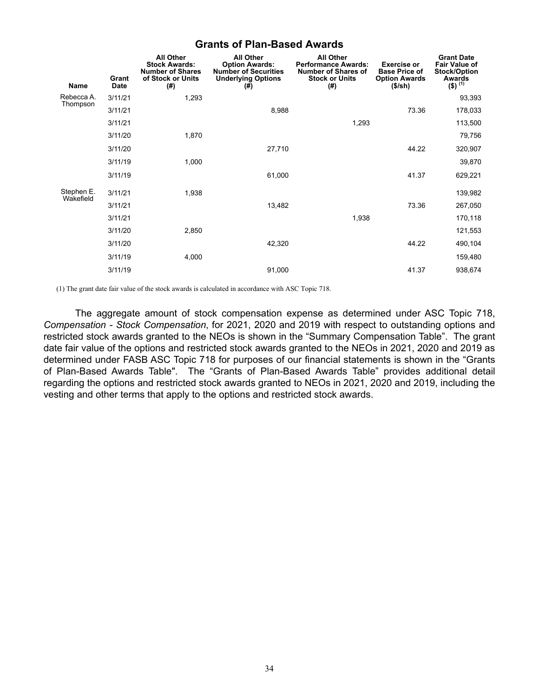# **Grants of Plan-Based Awards**

|                         | Grant       | <b>All Other</b><br><b>Stock Awards:</b><br><b>Number of Shares</b><br>of Stock or Units | <b>All Other</b><br><b>Option Awards:</b><br><b>Number of Securities</b><br><b>Underlying Options</b> | <b>All Other</b><br><b>Performance Awards:</b><br><b>Number of Shares of</b><br><b>Stock or Units</b> | <b>Exercise or</b><br><b>Base Price of</b><br><b>Option Awards</b> | <b>Grant Date</b><br><b>Fair Value of</b><br><b>Stock/Option</b><br>Awards |
|-------------------------|-------------|------------------------------------------------------------------------------------------|-------------------------------------------------------------------------------------------------------|-------------------------------------------------------------------------------------------------------|--------------------------------------------------------------------|----------------------------------------------------------------------------|
| Name                    | <b>Date</b> | (#)                                                                                      | (#)                                                                                                   | (#)                                                                                                   | (\$/sh)                                                            | $(5)^{(1)}$                                                                |
| Rebecca A.<br>Thompson  | 3/11/21     | 1,293                                                                                    |                                                                                                       |                                                                                                       |                                                                    | 93,393                                                                     |
|                         | 3/11/21     |                                                                                          | 8,988                                                                                                 |                                                                                                       | 73.36                                                              | 178,033                                                                    |
|                         | 3/11/21     |                                                                                          |                                                                                                       | 1,293                                                                                                 |                                                                    | 113,500                                                                    |
|                         | 3/11/20     | 1,870                                                                                    |                                                                                                       |                                                                                                       |                                                                    | 79,756                                                                     |
|                         | 3/11/20     |                                                                                          | 27,710                                                                                                |                                                                                                       | 44.22                                                              | 320,907                                                                    |
|                         | 3/11/19     | 1,000                                                                                    |                                                                                                       |                                                                                                       |                                                                    | 39,870                                                                     |
|                         | 3/11/19     |                                                                                          | 61,000                                                                                                |                                                                                                       | 41.37                                                              | 629,221                                                                    |
| Stephen E.<br>Wakefield | 3/11/21     | 1,938                                                                                    |                                                                                                       |                                                                                                       |                                                                    | 139,982                                                                    |
|                         | 3/11/21     |                                                                                          | 13,482                                                                                                |                                                                                                       | 73.36                                                              | 267,050                                                                    |
|                         | 3/11/21     |                                                                                          |                                                                                                       | 1,938                                                                                                 |                                                                    | 170,118                                                                    |
|                         | 3/11/20     | 2,850                                                                                    |                                                                                                       |                                                                                                       |                                                                    | 121,553                                                                    |
|                         | 3/11/20     |                                                                                          | 42,320                                                                                                |                                                                                                       | 44.22                                                              | 490,104                                                                    |
|                         | 3/11/19     | 4,000                                                                                    |                                                                                                       |                                                                                                       |                                                                    | 159,480                                                                    |
|                         | 3/11/19     |                                                                                          | 91,000                                                                                                |                                                                                                       | 41.37                                                              | 938,674                                                                    |

(1) The grant date fair value of the stock awards is calculated in accordance with ASC Topic 718.

The aggregate amount of stock compensation expense as determined under ASC Topic 718, *Compensation - Stock Compensation*, for 2021, 2020 and 2019 with respect to outstanding options and restricted stock awards granted to the NEOs is shown in the "Summary Compensation Table". The grant date fair value of the options and restricted stock awards granted to the NEOs in 2021, 2020 and 2019 as determined under FASB ASC Topic 718 for purposes of our financial statements is shown in the "Grants of Plan-Based Awards Table". The "Grants of Plan-Based Awards Table" provides additional detail regarding the options and restricted stock awards granted to NEOs in 2021, 2020 and 2019, including the vesting and other terms that apply to the options and restricted stock awards.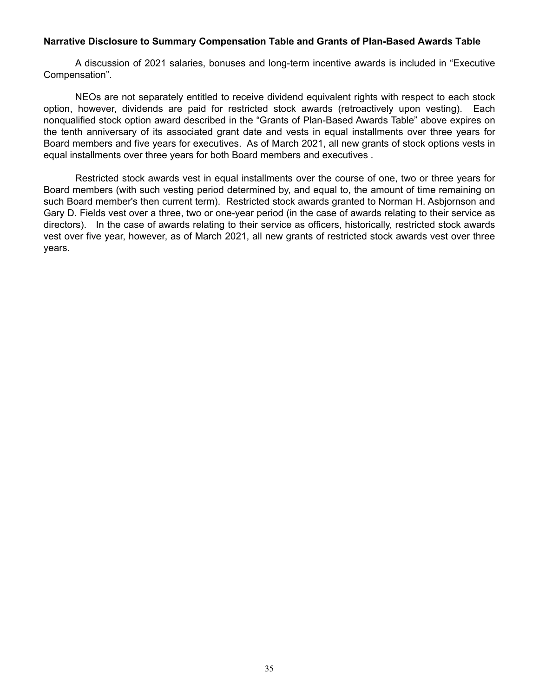# **Narrative Disclosure to Summary Compensation Table and Grants of Plan-Based Awards Table**

A discussion of 2021 salaries, bonuses and long-term incentive awards is included in "Executive Compensation".

NEOs are not separately entitled to receive dividend equivalent rights with respect to each stock option, however, dividends are paid for restricted stock awards (retroactively upon vesting). Each nonqualified stock option award described in the "Grants of Plan-Based Awards Table" above expires on the tenth anniversary of its associated grant date and vests in equal installments over three years for Board members and five years for executives. As of March 2021, all new grants of stock options vests in equal installments over three years for both Board members and executives .

Restricted stock awards vest in equal installments over the course of one, two or three years for Board members (with such vesting period determined by, and equal to, the amount of time remaining on such Board member's then current term). Restricted stock awards granted to Norman H. Asbjornson and Gary D. Fields vest over a three, two or one-year period (in the case of awards relating to their service as directors). In the case of awards relating to their service as officers, historically, restricted stock awards vest over five year, however, as of March 2021, all new grants of restricted stock awards vest over three years.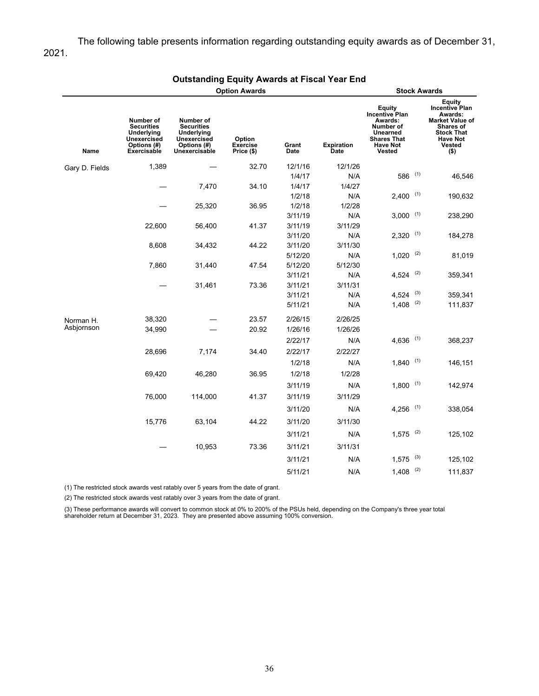### The following table presents information regarding outstanding equity awards as of December 31, 2021.

|                |                                                                                                  | <b>Option Awards</b>                                                                               |                                         | <b>Stock Awards</b>  |                                  |                                                                                                                               |     |                                                                                                                                                |
|----------------|--------------------------------------------------------------------------------------------------|----------------------------------------------------------------------------------------------------|-----------------------------------------|----------------------|----------------------------------|-------------------------------------------------------------------------------------------------------------------------------|-----|------------------------------------------------------------------------------------------------------------------------------------------------|
| Name           | Number of<br><b>Securities</b><br><b>Underlying</b><br>Unexercised<br>Options (#)<br>Exercisable | Number of<br><b>Securities</b><br><b>Underlying</b><br>Unexercised<br>Options (#)<br>Unexercisable | Option<br><b>Exercise</b><br>Price (\$) | Grant<br><b>Date</b> | <b>Expiration</b><br><b>Date</b> | Equity<br><b>Incentive Plan</b><br>Awards:<br>Number of<br><b>Unearned</b><br><b>Shares That</b><br><b>Have Not</b><br>Vested |     | Equity<br><b>Incentive Plan</b><br>Awards:<br><b>Market Value of</b><br>Shares of<br><b>Stock That</b><br><b>Have Not</b><br>Vested<br>$($ \$) |
| Gary D. Fields | 1,389                                                                                            |                                                                                                    | 32.70                                   | 12/1/16              | 12/1/26                          |                                                                                                                               |     |                                                                                                                                                |
|                |                                                                                                  |                                                                                                    |                                         | 1/4/17               | N/A                              | 586                                                                                                                           | (1) | 46,546                                                                                                                                         |
|                |                                                                                                  | 7,470                                                                                              | 34.10                                   | 1/4/17               | 1/4/27                           |                                                                                                                               |     |                                                                                                                                                |
|                |                                                                                                  |                                                                                                    |                                         | 1/2/18               | N/A                              | $2,400$ (1)                                                                                                                   |     | 190,632                                                                                                                                        |
|                |                                                                                                  | 25,320                                                                                             | 36.95                                   | 1/2/18               | 1/2/28                           |                                                                                                                               |     |                                                                                                                                                |
|                |                                                                                                  |                                                                                                    |                                         | 3/11/19              | N/A                              | $3,000$ (1)                                                                                                                   |     | 238,290                                                                                                                                        |
|                | 22,600                                                                                           | 56,400                                                                                             | 41.37                                   | 3/11/19              | 3/11/29                          |                                                                                                                               |     |                                                                                                                                                |
|                |                                                                                                  |                                                                                                    |                                         | 3/11/20              | N/A                              | $2,320$ (1)                                                                                                                   |     | 184,278                                                                                                                                        |
|                | 8,608                                                                                            | 34,432                                                                                             | 44.22                                   | 3/11/20              | 3/11/30                          |                                                                                                                               |     |                                                                                                                                                |
|                |                                                                                                  |                                                                                                    |                                         | 5/12/20              | N/A                              | $1,020$ <sup>(2)</sup>                                                                                                        |     | 81,019                                                                                                                                         |
|                | 7,860                                                                                            | 31,440                                                                                             | 47.54                                   | 5/12/20              | 5/12/30                          |                                                                                                                               |     |                                                                                                                                                |
|                |                                                                                                  |                                                                                                    |                                         | 3/11/21              | N/A                              | $4,524$ <sup>(2)</sup>                                                                                                        |     | 359,341                                                                                                                                        |
|                |                                                                                                  | 31,461                                                                                             | 73.36                                   | 3/11/21              | 3/11/31                          |                                                                                                                               | (3) |                                                                                                                                                |
|                |                                                                                                  |                                                                                                    |                                         | 3/11/21              | N/A<br>N/A                       | 4,524<br>1,408                                                                                                                | (2) | 359,341                                                                                                                                        |
|                |                                                                                                  |                                                                                                    |                                         | 5/11/21              |                                  |                                                                                                                               |     | 111,837                                                                                                                                        |
| Norman H.      | 38,320                                                                                           |                                                                                                    | 23.57                                   | 2/26/15              | 2/26/25                          |                                                                                                                               |     |                                                                                                                                                |
| Asbjornson     | 34,990                                                                                           |                                                                                                    | 20.92                                   | 1/26/16              | 1/26/26                          |                                                                                                                               |     |                                                                                                                                                |
|                |                                                                                                  |                                                                                                    |                                         | 2/22/17              | N/A                              | $4,636$ <sup>(1)</sup>                                                                                                        |     | 368,237                                                                                                                                        |
|                | 28,696                                                                                           | 7,174                                                                                              | 34.40                                   | 2/22/17              | 2/22/27                          |                                                                                                                               |     |                                                                                                                                                |
|                |                                                                                                  |                                                                                                    |                                         | 1/2/18               | N/A                              | $1,840$ (1)                                                                                                                   |     | 146,151                                                                                                                                        |
|                | 69,420                                                                                           | 46,280                                                                                             | 36.95                                   | 1/2/18               | 1/2/28                           |                                                                                                                               |     |                                                                                                                                                |
|                |                                                                                                  |                                                                                                    |                                         | 3/11/19              | N/A                              | $1,800$ (1)                                                                                                                   |     | 142,974                                                                                                                                        |
|                | 76,000                                                                                           | 114,000                                                                                            | 41.37                                   | 3/11/19              | 3/11/29                          |                                                                                                                               |     |                                                                                                                                                |
|                |                                                                                                  |                                                                                                    |                                         | 3/11/20              | N/A                              | $4,256$ <sup>(1)</sup>                                                                                                        |     | 338,054                                                                                                                                        |
|                |                                                                                                  |                                                                                                    |                                         |                      |                                  |                                                                                                                               |     |                                                                                                                                                |
|                | 15,776                                                                                           | 63,104                                                                                             | 44.22                                   | 3/11/20              | 3/11/30                          |                                                                                                                               |     |                                                                                                                                                |
|                |                                                                                                  |                                                                                                    |                                         | 3/11/21              | N/A                              | $1,575$ <sup>(2)</sup>                                                                                                        |     | 125,102                                                                                                                                        |
|                |                                                                                                  | 10,953                                                                                             | 73.36                                   | 3/11/21              | 3/11/31                          |                                                                                                                               |     |                                                                                                                                                |
|                |                                                                                                  |                                                                                                    |                                         | 3/11/21              | N/A                              | 1,575                                                                                                                         | (3) | 125,102                                                                                                                                        |
|                |                                                                                                  |                                                                                                    |                                         | 5/11/21              | N/A                              | 1,408                                                                                                                         | (2) | 111,837                                                                                                                                        |
|                |                                                                                                  |                                                                                                    |                                         |                      |                                  |                                                                                                                               |     |                                                                                                                                                |

### **Outstanding Equity Awards at Fiscal Year End**

(1) The restricted stock awards vest ratably over 5 years from the date of grant.

(2) The restricted stock awards vest ratably over 3 years from the date of grant.

(3) These performance awards will convert to common stock at 0% to 200% of the PSUs held, depending on the Company's three year total<br>shareholder return at December 31, 2023. They are presented above assuming 100% conversi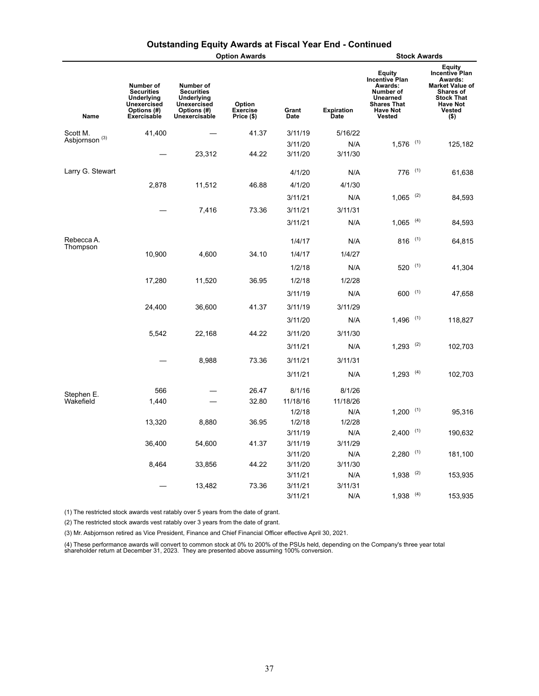|                           |                                                                                                  |                                                                                             | <b>Option Awards</b>                    |               |                           |                                                                                                                                      |     | <b>Stock Awards</b>                                                                                                                     |
|---------------------------|--------------------------------------------------------------------------------------------------|---------------------------------------------------------------------------------------------|-----------------------------------------|---------------|---------------------------|--------------------------------------------------------------------------------------------------------------------------------------|-----|-----------------------------------------------------------------------------------------------------------------------------------------|
| Name                      | Number of<br><b>Securities</b><br><b>Underlying</b><br>Unexercised<br>Options (#)<br>Exercisable | Number of<br><b>Securities</b><br>Underlying<br>Unexercised<br>Options (#)<br>Unexercisable | Option<br><b>Exercise</b><br>Price (\$) | Grant<br>Date | <b>Expiration</b><br>Date | <b>Equity</b><br><b>Incentive Plan</b><br>Awards:<br>Number of<br>Unearned<br><b>Shares That</b><br><b>Have Not</b><br><b>Vested</b> |     | Equity<br>Incentive Plan<br>Awards:<br><b>Market Value of</b><br>Shares of<br><b>Stock That</b><br><b>Have Not</b><br>Vested<br>$($ \$) |
| Scott M.                  | 41,400                                                                                           |                                                                                             | 41.37                                   | 3/11/19       | 5/16/22                   |                                                                                                                                      |     |                                                                                                                                         |
| Asbjornson <sup>(3)</sup> |                                                                                                  |                                                                                             |                                         | 3/11/20       | N/A                       | $1,576$ <sup>(1)</sup>                                                                                                               |     | 125,182                                                                                                                                 |
|                           |                                                                                                  | 23,312                                                                                      | 44.22                                   | 3/11/20       | 3/11/30                   |                                                                                                                                      |     |                                                                                                                                         |
| Larry G. Stewart          |                                                                                                  |                                                                                             |                                         | 4/1/20        | N/A                       | $776$ (1)                                                                                                                            |     | 61,638                                                                                                                                  |
|                           | 2,878                                                                                            | 11,512                                                                                      | 46.88                                   | 4/1/20        | 4/1/30                    |                                                                                                                                      |     |                                                                                                                                         |
|                           |                                                                                                  |                                                                                             |                                         | 3/11/21       | N/A                       | $1,065$ <sup>(2)</sup>                                                                                                               |     | 84,593                                                                                                                                  |
|                           |                                                                                                  | 7,416                                                                                       | 73.36                                   | 3/11/21       | 3/11/31                   |                                                                                                                                      |     |                                                                                                                                         |
|                           |                                                                                                  |                                                                                             |                                         | 3/11/21       | N/A                       | $1,065$ (4)                                                                                                                          |     | 84,593                                                                                                                                  |
| Rebecca A.                |                                                                                                  |                                                                                             |                                         | 1/4/17        | N/A                       | 816 $(1)$                                                                                                                            |     | 64,815                                                                                                                                  |
| Thompson                  | 10,900                                                                                           | 4,600                                                                                       | 34.10                                   | 1/4/17        | 1/4/27                    |                                                                                                                                      |     |                                                                                                                                         |
|                           |                                                                                                  |                                                                                             |                                         | 1/2/18        | N/A                       | $520^{(1)}$                                                                                                                          |     | 41,304                                                                                                                                  |
|                           | 17,280                                                                                           | 11,520                                                                                      | 36.95                                   | 1/2/18        | 1/2/28                    |                                                                                                                                      |     |                                                                                                                                         |
|                           |                                                                                                  |                                                                                             |                                         | 3/11/19       | N/A                       | $600$ (1)                                                                                                                            |     | 47,658                                                                                                                                  |
|                           | 24,400                                                                                           | 36,600                                                                                      | 41.37                                   | 3/11/19       | 3/11/29                   |                                                                                                                                      |     |                                                                                                                                         |
|                           |                                                                                                  |                                                                                             |                                         | 3/11/20       | N/A                       | $1,496$ <sup>(1)</sup>                                                                                                               |     | 118,827                                                                                                                                 |
|                           | 5,542                                                                                            | 22,168                                                                                      | 44.22                                   | 3/11/20       | 3/11/30                   |                                                                                                                                      |     |                                                                                                                                         |
|                           |                                                                                                  |                                                                                             |                                         | 3/11/21       | N/A                       | $1,293$ <sup>(2)</sup>                                                                                                               |     | 102,703                                                                                                                                 |
|                           |                                                                                                  |                                                                                             |                                         |               |                           |                                                                                                                                      |     |                                                                                                                                         |
|                           |                                                                                                  | 8,988                                                                                       | 73.36                                   | 3/11/21       | 3/11/31                   |                                                                                                                                      |     |                                                                                                                                         |
|                           |                                                                                                  |                                                                                             |                                         | 3/11/21       | N/A                       | $1,293$ <sup>(4)</sup>                                                                                                               |     | 102,703                                                                                                                                 |
| Stephen E.                | 566                                                                                              |                                                                                             | 26.47                                   | 8/1/16        | 8/1/26                    |                                                                                                                                      |     |                                                                                                                                         |
| Wakefield                 | 1,440                                                                                            |                                                                                             | 32.80                                   | 11/18/16      | 11/18/26                  |                                                                                                                                      |     |                                                                                                                                         |
|                           |                                                                                                  |                                                                                             |                                         | 1/2/18        | N/A                       | $1,200$ (1)                                                                                                                          |     | 95,316                                                                                                                                  |
|                           | 13,320                                                                                           | 8,880                                                                                       | 36.95                                   | 1/2/18        | 1/2/28                    |                                                                                                                                      |     |                                                                                                                                         |
|                           |                                                                                                  |                                                                                             |                                         | 3/11/19       | N/A                       | $2,400$ (1)                                                                                                                          |     | 190,632                                                                                                                                 |
|                           | 36,400                                                                                           | 54,600                                                                                      | 41.37                                   | 3/11/19       | 3/11/29                   |                                                                                                                                      |     |                                                                                                                                         |
|                           |                                                                                                  |                                                                                             |                                         | 3/11/20       | N/A                       | $2,280$ (1)                                                                                                                          |     | 181,100                                                                                                                                 |
|                           | 8,464                                                                                            | 33,856                                                                                      | 44.22                                   | 3/11/20       | 3/11/30                   |                                                                                                                                      |     |                                                                                                                                         |
|                           |                                                                                                  |                                                                                             |                                         | 3/11/21       | N/A                       | 1,938                                                                                                                                | (2) | 153,935                                                                                                                                 |
|                           |                                                                                                  | 13,482                                                                                      | 73.36                                   | 3/11/21       | 3/11/31                   |                                                                                                                                      |     |                                                                                                                                         |
|                           |                                                                                                  |                                                                                             |                                         | 3/11/21       | N/A                       | 1,938                                                                                                                                | (4) | 153,935                                                                                                                                 |

# **Outstanding Equity Awards at Fiscal Year End - Continued**

(1) The restricted stock awards vest ratably over 5 years from the date of grant.

(2) The restricted stock awards vest ratably over 3 years from the date of grant.

(3) Mr. Asbjornson retired as Vice President, Finance and Chief Financial Officer effective April 30, 2021.

(4) These performance awards will convert to common stock at 0% to 200% of the PSUs held, depending on the Company's three year total<br>shareholder return at December 31, 2023. They are presented above assuming 100% convers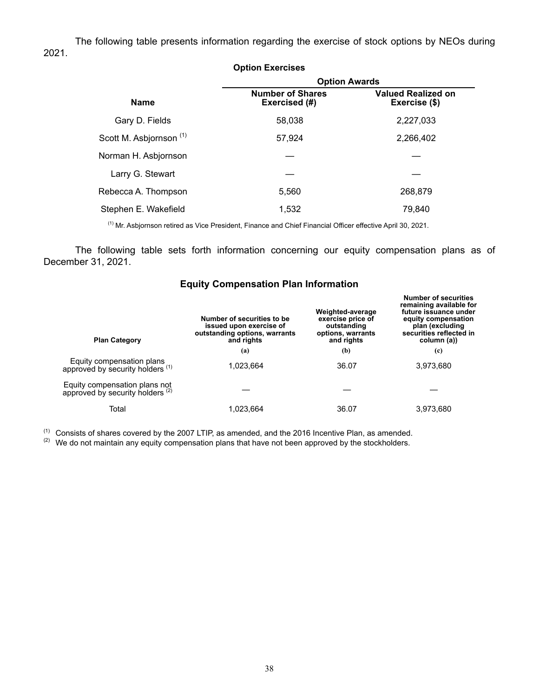The following table presents information regarding the exercise of stock options by NEOs during 2021.

|                                    | <b>Option Exercises</b>                  |                                            |  |  |  |
|------------------------------------|------------------------------------------|--------------------------------------------|--|--|--|
|                                    | <b>Option Awards</b>                     |                                            |  |  |  |
| <b>Name</b>                        | <b>Number of Shares</b><br>Exercised (#) | <b>Valued Realized on</b><br>Exercise (\$) |  |  |  |
| Gary D. Fields                     | 58,038                                   | 2,227,033                                  |  |  |  |
| Scott M. Asbjornson <sup>(1)</sup> | 57,924                                   | 2,266,402                                  |  |  |  |
| Norman H. Asbjornson               |                                          |                                            |  |  |  |
| Larry G. Stewart                   |                                          |                                            |  |  |  |
| Rebecca A. Thompson                | 5,560                                    | 268,879                                    |  |  |  |
| Stephen E. Wakefield               | 1.532                                    | 79.840                                     |  |  |  |

(1) Mr. Asbjornson retired as Vice President, Finance and Chief Financial Officer effective April 30, 2021.

The following table sets forth information concerning our equity compensation plans as of December 31, 2021.

| <b>Plan Category</b>                                                         | Number of securities to be<br>issued upon exercise of<br>outstanding options, warrants<br>and rights | Weighted-average<br>exercise price of<br>outstanding<br>options, warrants<br>and rights | <b>Number of securities</b><br>remaining available for<br>future issuance under<br>equity compensation<br>plan (excluding<br>securities reflected in<br>column (a)) |  |
|------------------------------------------------------------------------------|------------------------------------------------------------------------------------------------------|-----------------------------------------------------------------------------------------|---------------------------------------------------------------------------------------------------------------------------------------------------------------------|--|
|                                                                              | (a)                                                                                                  | (b)                                                                                     | (c)                                                                                                                                                                 |  |
| Equity compensation plans<br>approved by security holders (1)                | 1,023,664                                                                                            | 36.07                                                                                   | 3,973,680                                                                                                                                                           |  |
| Equity compensation plans not<br>approved by security holders <sup>(2)</sup> |                                                                                                      |                                                                                         |                                                                                                                                                                     |  |
| Total                                                                        | 1.023.664                                                                                            | 36.07                                                                                   | 3,973,680                                                                                                                                                           |  |

# **Equity Compensation Plan Information**

(1) Consists of shares covered by the 2007 LTIP, as amended, and the 2016 Incentive Plan, as amended.

 $(2)$  We do not maintain any equity compensation plans that have not been approved by the stockholders.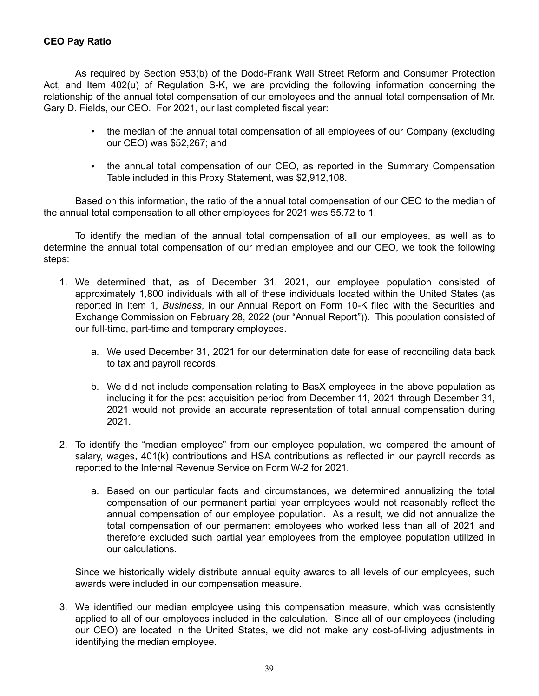# **CEO Pay Ratio**

As required by Section 953(b) of the Dodd-Frank Wall Street Reform and Consumer Protection Act, and Item 402(u) of Regulation S-K, we are providing the following information concerning the relationship of the annual total compensation of our employees and the annual total compensation of Mr. Gary D. Fields, our CEO. For 2021, our last completed fiscal year:

- the median of the annual total compensation of all employees of our Company (excluding our CEO) was \$52,267; and
- the annual total compensation of our CEO, as reported in the Summary Compensation Table included in this Proxy Statement, was \$2,912,108.

Based on this information, the ratio of the annual total compensation of our CEO to the median of the annual total compensation to all other employees for 2021 was 55.72 to 1.

To identify the median of the annual total compensation of all our employees, as well as to determine the annual total compensation of our median employee and our CEO, we took the following steps:

- 1. We determined that, as of December 31, 2021, our employee population consisted of approximately 1,800 individuals with all of these individuals located within the United States (as reported in Item 1, *Business*, in our Annual Report on Form 10-K filed with the Securities and Exchange Commission on February 28, 2022 (our "Annual Report")). This population consisted of our full-time, part-time and temporary employees.
	- a. We used December 31, 2021 for our determination date for ease of reconciling data back to tax and payroll records.
	- b. We did not include compensation relating to BasX employees in the above population as including it for the post acquisition period from December 11, 2021 through December 31, 2021 would not provide an accurate representation of total annual compensation during 2021.
- 2. To identify the "median employee" from our employee population, we compared the amount of salary, wages, 401(k) contributions and HSA contributions as reflected in our payroll records as reported to the Internal Revenue Service on Form W-2 for 2021.
	- a. Based on our particular facts and circumstances, we determined annualizing the total compensation of our permanent partial year employees would not reasonably reflect the annual compensation of our employee population. As a result, we did not annualize the total compensation of our permanent employees who worked less than all of 2021 and therefore excluded such partial year employees from the employee population utilized in our calculations.

Since we historically widely distribute annual equity awards to all levels of our employees, such awards were included in our compensation measure.

3. We identified our median employee using this compensation measure, which was consistently applied to all of our employees included in the calculation. Since all of our employees (including our CEO) are located in the United States, we did not make any cost-of-living adjustments in identifying the median employee.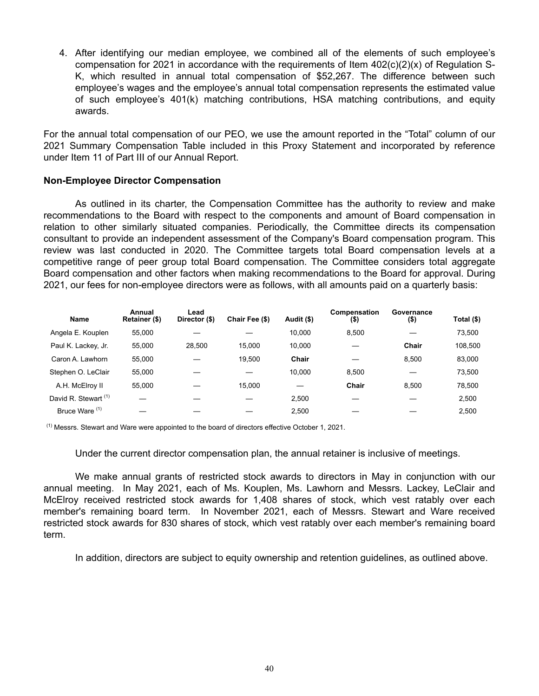4. After identifying our median employee, we combined all of the elements of such employee's compensation for 2021 in accordance with the requirements of Item  $402(c)(2)(x)$  of Regulation S-K, which resulted in annual total compensation of \$52,267. The difference between such employee's wages and the employee's annual total compensation represents the estimated value of such employee's 401(k) matching contributions, HSA matching contributions, and equity awards.

For the annual total compensation of our PEO, we use the amount reported in the "Total" column of our 2021 Summary Compensation Table included in this Proxy Statement and incorporated by reference under Item 11 of Part III of our Annual Report.

### **Non-Employee Director Compensation**

As outlined in its charter, the Compensation Committee has the authority to review and make recommendations to the Board with respect to the components and amount of Board compensation in relation to other similarly situated companies. Periodically, the Committee directs its compensation consultant to provide an independent assessment of the Company's Board compensation program. This review was last conducted in 2020. The Committee targets total Board compensation levels at a competitive range of peer group total Board compensation. The Committee considers total aggregate Board compensation and other factors when making recommendations to the Board for approval. During 2021, our fees for non-employee directors were as follows, with all amounts paid on a quarterly basis:

| Name                            | Annual<br>Retainer (\$) | Lead<br>Director (\$) | Chair Fee (\$) | Audit (\$) | Compensation<br>(\$) | Governance<br>(\$) | Total (\$) |
|---------------------------------|-------------------------|-----------------------|----------------|------------|----------------------|--------------------|------------|
| Angela E. Kouplen               | 55.000                  |                       |                | 10.000     | 8.500                |                    | 73,500     |
| Paul K. Lackey, Jr.             | 55.000                  | 28.500                | 15.000         | 10.000     |                      | Chair              | 108,500    |
| Caron A. Lawhorn                | 55.000                  |                       | 19.500         | Chair      |                      | 8.500              | 83,000     |
| Stephen O. LeClair              | 55.000                  |                       |                | 10.000     | 8.500                |                    | 73,500     |
| A.H. McElroy II                 | 55.000                  |                       | 15.000         |            | Chair                | 8.500              | 78,500     |
| David R. Stewart <sup>(1)</sup> |                         |                       |                | 2.500      |                      |                    | 2,500      |
| Bruce Ware <sup>(1)</sup>       |                         |                       |                | 2.500      |                      |                    | 2.500      |

 $<sup>(1)</sup>$  Messrs. Stewart and Ware were appointed to the board of directors effective October 1, 2021.</sup>

Under the current director compensation plan, the annual retainer is inclusive of meetings.

We make annual grants of restricted stock awards to directors in May in conjunction with our annual meeting. In May 2021, each of Ms. Kouplen, Ms. Lawhorn and Messrs. Lackey, LeClair and McElroy received restricted stock awards for 1,408 shares of stock, which vest ratably over each member's remaining board term. In November 2021, each of Messrs. Stewart and Ware received restricted stock awards for 830 shares of stock, which vest ratably over each member's remaining board term.

In addition, directors are subject to equity ownership and retention guidelines, as outlined above.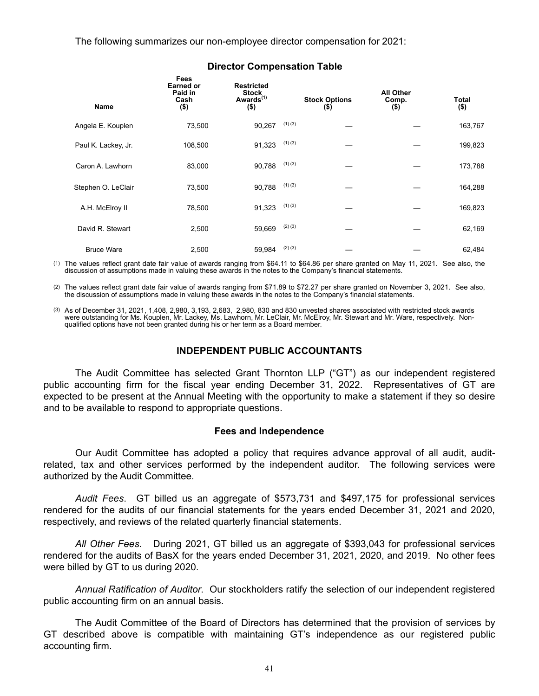The following summarizes our non-employee director compensation for 2021:

| <b>Name</b>         | Fees<br><b>Earned or</b><br>Paid in<br>Cash<br>$($ \$) | <b>Restricted</b><br><b>Stock</b><br>Awards <sup>(1)</sup><br>$($ \$) |             | <b>Stock Options</b><br>$($ \$) | <b>All Other</b><br>Comp.<br>$($ \$) | Total<br>$($ \$) |
|---------------------|--------------------------------------------------------|-----------------------------------------------------------------------|-------------|---------------------------------|--------------------------------------|------------------|
| Angela E. Kouplen   | 73,500                                                 | 90,267                                                                | (1)(3)      |                                 |                                      | 163,767          |
| Paul K. Lackey, Jr. | 108,500                                                | 91,323                                                                | (1)(3)      |                                 |                                      | 199,823          |
| Caron A. Lawhorn    | 83,000                                                 | 90,788                                                                | (1)(3)      |                                 |                                      | 173,788          |
| Stephen O. LeClair  | 73,500                                                 | 90,788                                                                | (1)(3)      |                                 |                                      | 164,288          |
| A.H. McElroy II     | 78,500                                                 | 91,323                                                                | (1)(3)      |                                 |                                      | 169,823          |
| David R. Stewart    | 2,500                                                  | 59,669                                                                | $(2)$ $(3)$ |                                 |                                      | 62,169           |
| <b>Bruce Ware</b>   | 2,500                                                  | 59,984                                                                | $(2)$ $(3)$ |                                 |                                      | 62,484           |

### **Director Compensation Table**

(1) The values reflect grant date fair value of awards ranging from \$64.11 to \$64.86 per share granted on May 11, 2021. See also, the discussion of assumptions made in valuing these awards in the notes to the Company's financial statements.

(2) The values reflect grant date fair value of awards ranging from \$71.89 to \$72.27 per share granted on November 3, 2021. See also, the discussion of assumptions made in valuing these awards in the notes to the Company's financial statements.

(3) As of December 31, 2021, 1,408, 2,980, 3,193, 2,683, 2,980, 830 and 830 unvested shares associated with restricted stock awards were outstanding for Ms. Kouplen, Mr. Lackey, Ms. Lawhorn, Mr. LeClair, Mr. McElroy, Mr. Stewart and Mr. Ware, respectively. Nonqualified options have not been granted during his or her term as a Board member.

### **INDEPENDENT PUBLIC ACCOUNTANTS**

The Audit Committee has selected Grant Thornton LLP ("GT") as our independent registered public accounting firm for the fiscal year ending December 31, 2022. Representatives of GT are expected to be present at the Annual Meeting with the opportunity to make a statement if they so desire and to be available to respond to appropriate questions.

### **Fees and Independence**

Our Audit Committee has adopted a policy that requires advance approval of all audit, auditrelated, tax and other services performed by the independent auditor. The following services were authorized by the Audit Committee.

*Audit Fees*. GT billed us an aggregate of \$573,731 and \$497,175 for professional services rendered for the audits of our financial statements for the years ended December 31, 2021 and 2020, respectively, and reviews of the related quarterly financial statements.

*All Other Fees*. During 2021, GT billed us an aggregate of \$393,043 for professional services rendered for the audits of BasX for the years ended December 31, 2021, 2020, and 2019. No other fees were billed by GT to us during 2020.

*Annual Ratification of Auditor*. Our stockholders ratify the selection of our independent registered public accounting firm on an annual basis.

The Audit Committee of the Board of Directors has determined that the provision of services by GT described above is compatible with maintaining GT's independence as our registered public accounting firm.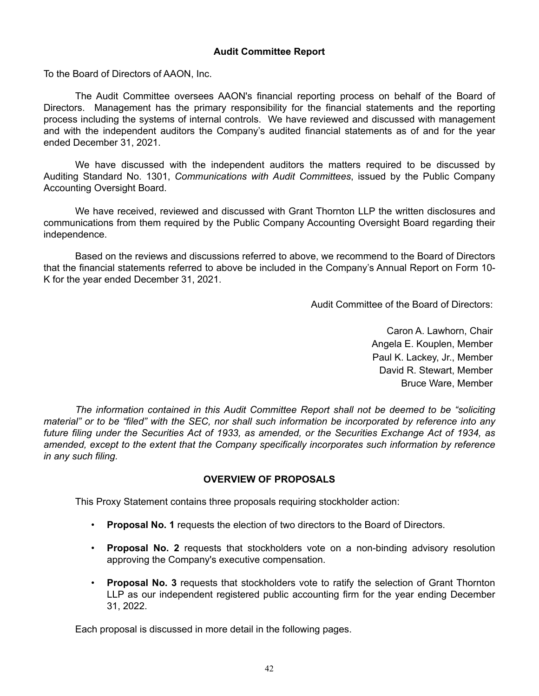### **Audit Committee Report**

To the Board of Directors of AAON, Inc.

The Audit Committee oversees AAON's financial reporting process on behalf of the Board of Directors. Management has the primary responsibility for the financial statements and the reporting process including the systems of internal controls. We have reviewed and discussed with management and with the independent auditors the Company's audited financial statements as of and for the year ended December 31, 2021.

We have discussed with the independent auditors the matters required to be discussed by Auditing Standard No. 1301, *Communications with Audit Committees*, issued by the Public Company Accounting Oversight Board.

We have received, reviewed and discussed with Grant Thornton LLP the written disclosures and communications from them required by the Public Company Accounting Oversight Board regarding their independence.

Based on the reviews and discussions referred to above, we recommend to the Board of Directors that the financial statements referred to above be included in the Company's Annual Report on Form 10- K for the year ended December 31, 2021.

Audit Committee of the Board of Directors:

Caron A. Lawhorn, Chair Angela E. Kouplen, Member Paul K. Lackey, Jr., Member David R. Stewart, Member Bruce Ware, Member

*The information contained in this Audit Committee Report shall not be deemed to be "soliciting material" or to be "filed" with the SEC, nor shall such information be incorporated by reference into any future filing under the Securities Act of 1933, as amended, or the Securities Exchange Act of 1934, as amended, except to the extent that the Company specifically incorporates such information by reference in any such filing.*

# **OVERVIEW OF PROPOSALS**

This Proxy Statement contains three proposals requiring stockholder action:

- **Proposal No. 1** requests the election of two directors to the Board of Directors.
- **Proposal No. 2** requests that stockholders vote on a non-binding advisory resolution approving the Company's executive compensation.
- **Proposal No. 3** requests that stockholders vote to ratify the selection of Grant Thornton LLP as our independent registered public accounting firm for the year ending December 31, 2022.

Each proposal is discussed in more detail in the following pages.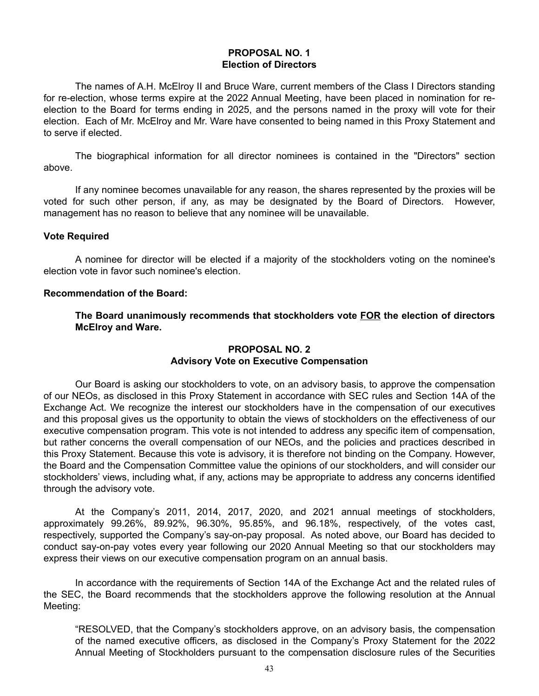# **PROPOSAL NO. 1 Election of Directors**

The names of A.H. McElroy II and Bruce Ware, current members of the Class I Directors standing for re-election, whose terms expire at the 2022 Annual Meeting, have been placed in nomination for reelection to the Board for terms ending in 2025, and the persons named in the proxy will vote for their election. Each of Mr. McElroy and Mr. Ware have consented to being named in this Proxy Statement and to serve if elected.

The biographical information for all director nominees is contained in the "Directors" section above.

If any nominee becomes unavailable for any reason, the shares represented by the proxies will be voted for such other person, if any, as may be designated by the Board of Directors. However, management has no reason to believe that any nominee will be unavailable.

# **Vote Required**

A nominee for director will be elected if a majority of the stockholders voting on the nominee's election vote in favor such nominee's election.

### **Recommendation of the Board:**

**The Board unanimously recommends that stockholders vote FOR the election of directors McElroy and Ware.**

# **PROPOSAL NO. 2 Advisory Vote on Executive Compensation**

Our Board is asking our stockholders to vote, on an advisory basis, to approve the compensation of our NEOs, as disclosed in this Proxy Statement in accordance with SEC rules and Section 14A of the Exchange Act. We recognize the interest our stockholders have in the compensation of our executives and this proposal gives us the opportunity to obtain the views of stockholders on the effectiveness of our executive compensation program. This vote is not intended to address any specific item of compensation, but rather concerns the overall compensation of our NEOs, and the policies and practices described in this Proxy Statement. Because this vote is advisory, it is therefore not binding on the Company. However, the Board and the Compensation Committee value the opinions of our stockholders, and will consider our stockholders' views, including what, if any, actions may be appropriate to address any concerns identified through the advisory vote.

At the Company's 2011, 2014, 2017, 2020, and 2021 annual meetings of stockholders, approximately 99.26%, 89.92%, 96.30%, 95.85%, and 96.18%, respectively, of the votes cast, respectively, supported the Company's say-on-pay proposal. As noted above, our Board has decided to conduct say-on-pay votes every year following our 2020 Annual Meeting so that our stockholders may express their views on our executive compensation program on an annual basis.

In accordance with the requirements of Section 14A of the Exchange Act and the related rules of the SEC, the Board recommends that the stockholders approve the following resolution at the Annual Meeting:

"RESOLVED, that the Company's stockholders approve, on an advisory basis, the compensation of the named executive officers, as disclosed in the Company's Proxy Statement for the 2022 Annual Meeting of Stockholders pursuant to the compensation disclosure rules of the Securities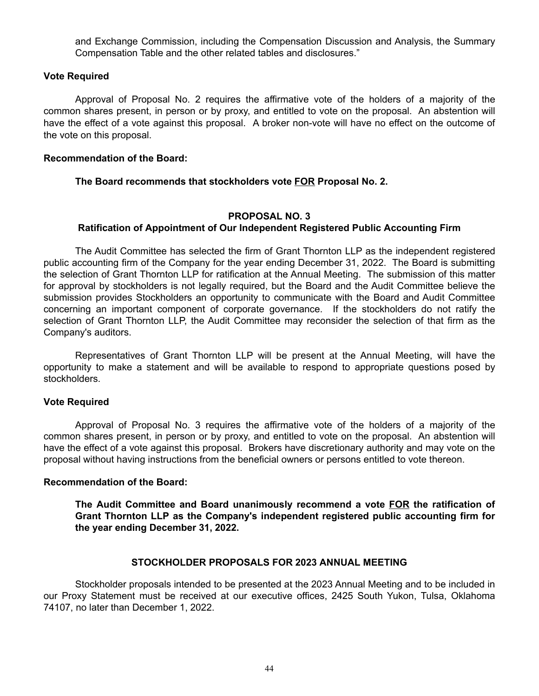and Exchange Commission, including the Compensation Discussion and Analysis, the Summary Compensation Table and the other related tables and disclosures."

### **Vote Required**

Approval of Proposal No. 2 requires the affirmative vote of the holders of a majority of the common shares present, in person or by proxy, and entitled to vote on the proposal. An abstention will have the effect of a vote against this proposal. A broker non-vote will have no effect on the outcome of the vote on this proposal.

#### **Recommendation of the Board:**

**The Board recommends that stockholders vote FOR Proposal No. 2.**

### **PROPOSAL NO. 3**

# **Ratification of Appointment of Our Independent Registered Public Accounting Firm**

The Audit Committee has selected the firm of Grant Thornton LLP as the independent registered public accounting firm of the Company for the year ending December 31, 2022. The Board is submitting the selection of Grant Thornton LLP for ratification at the Annual Meeting. The submission of this matter for approval by stockholders is not legally required, but the Board and the Audit Committee believe the submission provides Stockholders an opportunity to communicate with the Board and Audit Committee concerning an important component of corporate governance. If the stockholders do not ratify the selection of Grant Thornton LLP, the Audit Committee may reconsider the selection of that firm as the Company's auditors.

Representatives of Grant Thornton LLP will be present at the Annual Meeting, will have the opportunity to make a statement and will be available to respond to appropriate questions posed by stockholders.

### **Vote Required**

Approval of Proposal No. 3 requires the affirmative vote of the holders of a majority of the common shares present, in person or by proxy, and entitled to vote on the proposal. An abstention will have the effect of a vote against this proposal. Brokers have discretionary authority and may vote on the proposal without having instructions from the beneficial owners or persons entitled to vote thereon.

#### **Recommendation of the Board:**

**The Audit Committee and Board unanimously recommend a vote FOR the ratification of Grant Thornton LLP as the Company's independent registered public accounting firm for the year ending December 31, 2022.** 

### **STOCKHOLDER PROPOSALS FOR 2023 ANNUAL MEETING**

Stockholder proposals intended to be presented at the 2023 Annual Meeting and to be included in our Proxy Statement must be received at our executive offices, 2425 South Yukon, Tulsa, Oklahoma 74107, no later than December 1, 2022.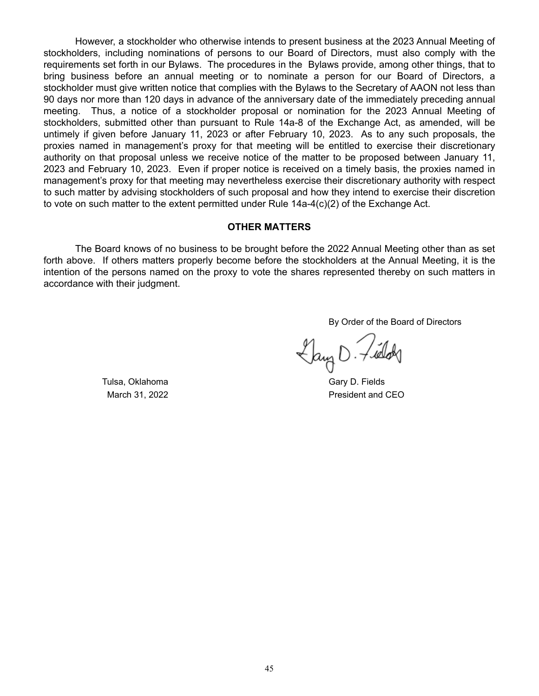However, a stockholder who otherwise intends to present business at the 2023 Annual Meeting of stockholders, including nominations of persons to our Board of Directors, must also comply with the requirements set forth in our Bylaws. The procedures in the Bylaws provide, among other things, that to bring business before an annual meeting or to nominate a person for our Board of Directors, a stockholder must give written notice that complies with the Bylaws to the Secretary of AAON not less than 90 days nor more than 120 days in advance of the anniversary date of the immediately preceding annual meeting. Thus, a notice of a stockholder proposal or nomination for the 2023 Annual Meeting of stockholders, submitted other than pursuant to Rule 14a-8 of the Exchange Act, as amended, will be untimely if given before January 11, 2023 or after February 10, 2023. As to any such proposals, the proxies named in management's proxy for that meeting will be entitled to exercise their discretionary authority on that proposal unless we receive notice of the matter to be proposed between January 11, 2023 and February 10, 2023. Even if proper notice is received on a timely basis, the proxies named in management's proxy for that meeting may nevertheless exercise their discretionary authority with respect to such matter by advising stockholders of such proposal and how they intend to exercise their discretion to vote on such matter to the extent permitted under Rule 14a-4(c)(2) of the Exchange Act.

### **OTHER MATTERS**

The Board knows of no business to be brought before the 2022 Annual Meeting other than as set forth above. If others matters properly become before the stockholders at the Annual Meeting, it is the intention of the persons named on the proxy to vote the shares represented thereby on such matters in accordance with their judgment.

By Order of the Board of Directors

 $\bigcup_{\alpha\in\mathcal{A}}$   $\bigcup_{\alpha\in\mathcal{A}}$ 

Tulsa, Oklahoma Gary D. Fields March 31, 2022 **President and CEO**